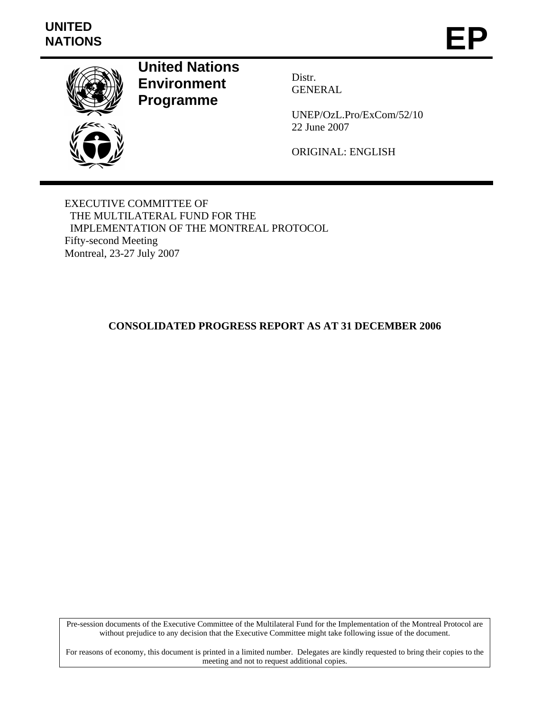# **UNITED**  UNITED<br>NATIONS **EP**



**United Nations Environment Programme** 

Distr. GENERAL

UNEP/OzL.Pro/ExCom/52/10 22 June 2007

ORIGINAL: ENGLISH

EXECUTIVE COMMITTEE OF THE MULTILATERAL FUND FOR THE IMPLEMENTATION OF THE MONTREAL PROTOCOL Fifty-second Meeting Montreal, 23-27 July 2007

# **CONSOLIDATED PROGRESS REPORT AS AT 31 DECEMBER 2006**

Pre-session documents of the Executive Committee of the Multilateral Fund for the Implementation of the Montreal Protocol are without prejudice to any decision that the Executive Committee might take following issue of the document.

For reasons of economy, this document is printed in a limited number. Delegates are kindly requested to bring their copies to the meeting and not to request additional copies.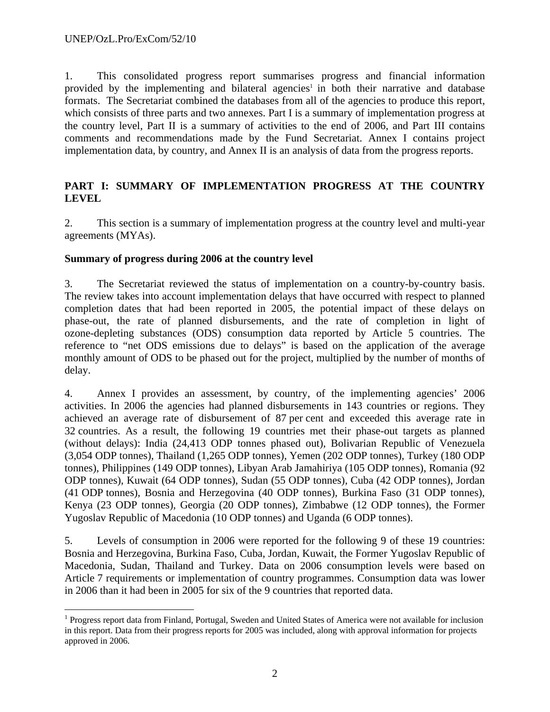1. This consolidated progress report summarises progress and financial information provided by the implementing and bilateral agencies<sup>1</sup> in both their narrative and database formats. The Secretariat combined the databases from all of the agencies to produce this report, which consists of three parts and two annexes. Part I is a summary of implementation progress at the country level, Part II is a summary of activities to the end of 2006, and Part III contains comments and recommendations made by the Fund Secretariat. Annex I contains project implementation data, by country, and Annex II is an analysis of data from the progress reports.

## **PART I: SUMMARY OF IMPLEMENTATION PROGRESS AT THE COUNTRY LEVEL**

2. This section is a summary of implementation progress at the country level and multi-year agreements (MYAs).

### **Summary of progress during 2006 at the country level**

3. The Secretariat reviewed the status of implementation on a country-by-country basis. The review takes into account implementation delays that have occurred with respect to planned completion dates that had been reported in 2005, the potential impact of these delays on phase-out, the rate of planned disbursements, and the rate of completion in light of ozone-depleting substances (ODS) consumption data reported by Article 5 countries. The reference to "net ODS emissions due to delays" is based on the application of the average monthly amount of ODS to be phased out for the project, multiplied by the number of months of delay.

4. Annex I provides an assessment, by country, of the implementing agencies' 2006 activities. In 2006 the agencies had planned disbursements in 143 countries or regions. They achieved an average rate of disbursement of 87 per cent and exceeded this average rate in 32 countries. As a result, the following 19 countries met their phase-out targets as planned (without delays): India (24,413 ODP tonnes phased out), Bolivarian Republic of Venezuela (3,054 ODP tonnes), Thailand (1,265 ODP tonnes), Yemen (202 ODP tonnes), Turkey (180 ODP tonnes), Philippines (149 ODP tonnes), Libyan Arab Jamahiriya (105 ODP tonnes), Romania (92 ODP tonnes), Kuwait (64 ODP tonnes), Sudan (55 ODP tonnes), Cuba (42 ODP tonnes), Jordan (41 ODP tonnes), Bosnia and Herzegovina (40 ODP tonnes), Burkina Faso (31 ODP tonnes), Kenya (23 ODP tonnes), Georgia (20 ODP tonnes), Zimbabwe (12 ODP tonnes), the Former Yugoslav Republic of Macedonia (10 ODP tonnes) and Uganda (6 ODP tonnes).

5. Levels of consumption in 2006 were reported for the following 9 of these 19 countries: Bosnia and Herzegovina, Burkina Faso, Cuba, Jordan, Kuwait, the Former Yugoslav Republic of Macedonia, Sudan, Thailand and Turkey. Data on 2006 consumption levels were based on Article 7 requirements or implementation of country programmes. Consumption data was lower in 2006 than it had been in 2005 for six of the 9 countries that reported data.

 $\overline{a}$ <sup>1</sup> Progress report data from Finland, Portugal, Sweden and United States of America were not available for inclusion in this report. Data from their progress reports for 2005 was included, along with approval information for projects approved in 2006.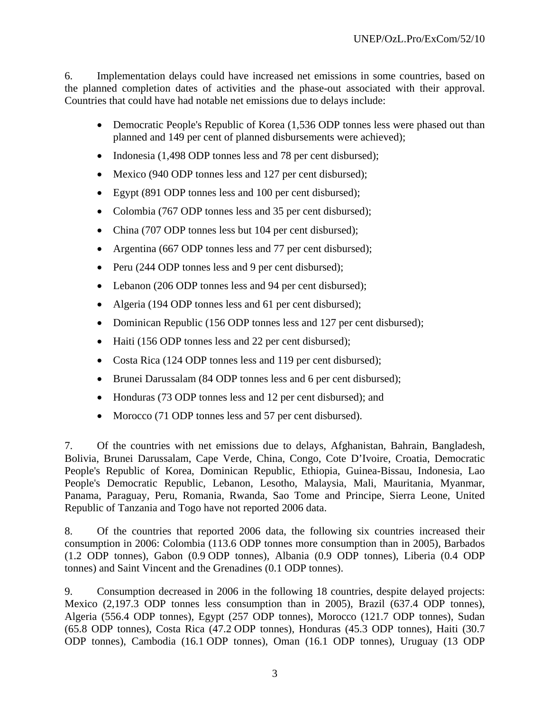6. Implementation delays could have increased net emissions in some countries, based on the planned completion dates of activities and the phase-out associated with their approval. Countries that could have had notable net emissions due to delays include:

- Democratic People's Republic of Korea (1,536 ODP tonnes less were phased out than planned and 149 per cent of planned disbursements were achieved);
- Indonesia (1,498 ODP tonnes less and 78 per cent disbursed);
- Mexico (940 ODP tonnes less and 127 per cent disbursed);
- Egypt (891 ODP tonnes less and 100 per cent disbursed);
- Colombia (767 ODP tonnes less and 35 per cent disbursed);
- China (707 ODP tonnes less but 104 per cent disbursed);
- Argentina (667 ODP tonnes less and 77 per cent disbursed);
- Peru (244 ODP tonnes less and 9 per cent disbursed);
- Lebanon (206 ODP tonnes less and 94 per cent disbursed);
- Algeria (194 ODP tonnes less and 61 per cent disbursed);
- Dominican Republic (156 ODP tonnes less and 127 per cent disbursed);
- Haiti (156 ODP tonnes less and 22 per cent disbursed);
- Costa Rica (124 ODP tonnes less and 119 per cent disbursed);
- Brunei Darussalam (84 ODP tonnes less and 6 per cent disbursed);
- Honduras (73 ODP tonnes less and 12 per cent disbursed); and
- Morocco (71 ODP tonnes less and 57 per cent disbursed).

7. Of the countries with net emissions due to delays, Afghanistan, Bahrain, Bangladesh, Bolivia, Brunei Darussalam, Cape Verde, China, Congo, Cote D'Ivoire, Croatia, Democratic People's Republic of Korea, Dominican Republic, Ethiopia, Guinea-Bissau, Indonesia, Lao People's Democratic Republic, Lebanon, Lesotho, Malaysia, Mali, Mauritania, Myanmar, Panama, Paraguay, Peru, Romania, Rwanda, Sao Tome and Principe, Sierra Leone, United Republic of Tanzania and Togo have not reported 2006 data.

8. Of the countries that reported 2006 data, the following six countries increased their consumption in 2006: Colombia (113.6 ODP tonnes more consumption than in 2005), Barbados (1.2 ODP tonnes), Gabon (0.9 ODP tonnes), Albania (0.9 ODP tonnes), Liberia (0.4 ODP tonnes) and Saint Vincent and the Grenadines (0.1 ODP tonnes).

9. Consumption decreased in 2006 in the following 18 countries, despite delayed projects: Mexico (2,197.3 ODP tonnes less consumption than in 2005), Brazil (637.4 ODP tonnes), Algeria (556.4 ODP tonnes), Egypt (257 ODP tonnes), Morocco (121.7 ODP tonnes), Sudan (65.8 ODP tonnes), Costa Rica (47.2 ODP tonnes), Honduras (45.3 ODP tonnes), Haiti (30.7 ODP tonnes), Cambodia (16.1 ODP tonnes), Oman (16.1 ODP tonnes), Uruguay (13 ODP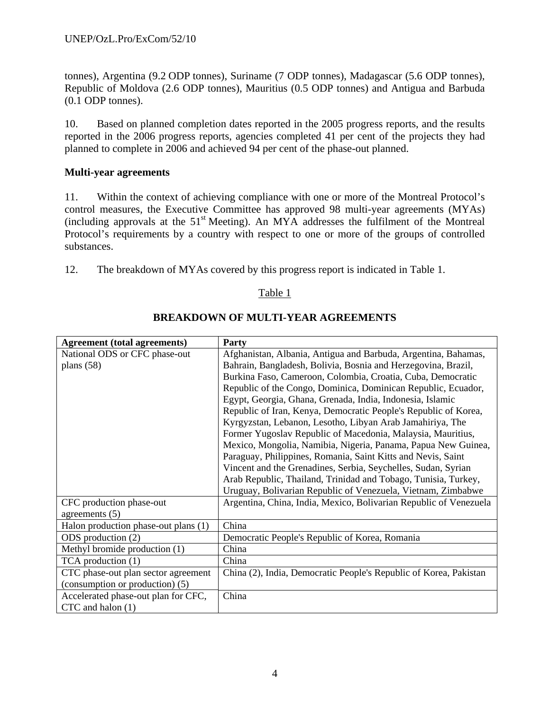tonnes), Argentina (9.2 ODP tonnes), Suriname (7 ODP tonnes), Madagascar (5.6 ODP tonnes), Republic of Moldova (2.6 ODP tonnes), Mauritius (0.5 ODP tonnes) and Antigua and Barbuda (0.1 ODP tonnes).

10. Based on planned completion dates reported in the 2005 progress reports, and the results reported in the 2006 progress reports, agencies completed 41 per cent of the projects they had planned to complete in 2006 and achieved 94 per cent of the phase-out planned.

### **Multi-year agreements**

11. Within the context of achieving compliance with one or more of the Montreal Protocol's control measures, the Executive Committee has approved 98 multi-year agreements (MYAs) (including approvals at the  $51<sup>st</sup>$  Meeting). An MYA addresses the fulfilment of the Montreal Protocol's requirements by a country with respect to one or more of the groups of controlled substances.

12. The breakdown of MYAs covered by this progress report is indicated in Table 1.

### Table 1

| <b>Agreement</b> (total agreements)  | <b>Party</b>                                                      |
|--------------------------------------|-------------------------------------------------------------------|
| National ODS or CFC phase-out        | Afghanistan, Albania, Antigua and Barbuda, Argentina, Bahamas,    |
| plans $(58)$                         | Bahrain, Bangladesh, Bolivia, Bosnia and Herzegovina, Brazil,     |
|                                      | Burkina Faso, Cameroon, Colombia, Croatia, Cuba, Democratic       |
|                                      | Republic of the Congo, Dominica, Dominican Republic, Ecuador,     |
|                                      | Egypt, Georgia, Ghana, Grenada, India, Indonesia, Islamic         |
|                                      | Republic of Iran, Kenya, Democratic People's Republic of Korea,   |
|                                      | Kyrgyzstan, Lebanon, Lesotho, Libyan Arab Jamahiriya, The         |
|                                      | Former Yugoslav Republic of Macedonia, Malaysia, Mauritius,       |
|                                      | Mexico, Mongolia, Namibia, Nigeria, Panama, Papua New Guinea,     |
|                                      | Paraguay, Philippines, Romania, Saint Kitts and Nevis, Saint      |
|                                      | Vincent and the Grenadines, Serbia, Seychelles, Sudan, Syrian     |
|                                      | Arab Republic, Thailand, Trinidad and Tobago, Tunisia, Turkey,    |
|                                      | Uruguay, Bolivarian Republic of Venezuela, Vietnam, Zimbabwe      |
| CFC production phase-out             | Argentina, China, India, Mexico, Bolivarian Republic of Venezuela |
| agreements $(5)$                     |                                                                   |
| Halon production phase-out plans (1) | China                                                             |
| ODS production (2)                   | Democratic People's Republic of Korea, Romania                    |
| Methyl bromide production (1)        | China                                                             |
| TCA production (1)                   | China                                                             |
| CTC phase-out plan sector agreement  | China (2), India, Democratic People's Republic of Korea, Pakistan |
| (consumption or production) (5)      |                                                                   |
| Accelerated phase-out plan for CFC,  | China                                                             |
| CTC and halon (1)                    |                                                                   |

#### **BREAKDOWN OF MULTI-YEAR AGREEMENTS**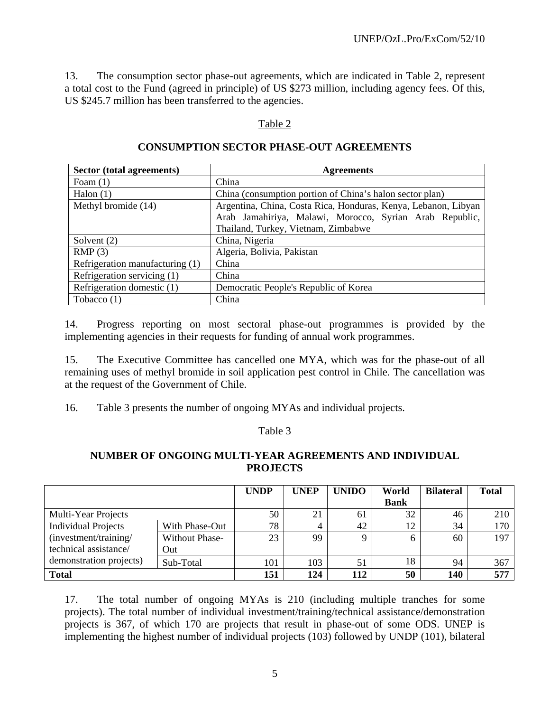13. The consumption sector phase-out agreements, which are indicated in Table 2, represent a total cost to the Fund (agreed in principle) of US \$273 million, including agency fees. Of this, US \$245.7 million has been transferred to the agencies.

## Table 2

## **CONSUMPTION SECTOR PHASE-OUT AGREEMENTS**

| Sector (total agreements)                               | <b>Agreements</b>                                              |  |  |  |  |  |  |  |  |
|---------------------------------------------------------|----------------------------------------------------------------|--|--|--|--|--|--|--|--|
| Foam $(1)$                                              | China                                                          |  |  |  |  |  |  |  |  |
| Halon $(1)$                                             | China (consumption portion of China's halon sector plan)       |  |  |  |  |  |  |  |  |
| Methyl bromide (14)                                     | Argentina, China, Costa Rica, Honduras, Kenya, Lebanon, Libyan |  |  |  |  |  |  |  |  |
| Arab Jamahiriya, Malawi, Morocco, Syrian Arab Republic, |                                                                |  |  |  |  |  |  |  |  |
| Thailand, Turkey, Vietnam, Zimbabwe                     |                                                                |  |  |  |  |  |  |  |  |
| Solvent $(2)$                                           | China, Nigeria                                                 |  |  |  |  |  |  |  |  |
| RMP(3)                                                  | Algeria, Bolivia, Pakistan                                     |  |  |  |  |  |  |  |  |
| Refrigeration manufacturing (1)                         | China                                                          |  |  |  |  |  |  |  |  |
| Refrigeration servicing (1)                             | China                                                          |  |  |  |  |  |  |  |  |
| Refrigeration domestic (1)                              | Democratic People's Republic of Korea                          |  |  |  |  |  |  |  |  |
| Tobacco $(1)$                                           | China                                                          |  |  |  |  |  |  |  |  |

14. Progress reporting on most sectoral phase-out programmes is provided by the implementing agencies in their requests for funding of annual work programmes.

15. The Executive Committee has cancelled one MYA, which was for the phase-out of all remaining uses of methyl bromide in soil application pest control in Chile. The cancellation was at the request of the Government of Chile.

16. Table 3 presents the number of ongoing MYAs and individual projects.

#### Table 3

## **NUMBER OF ONGOING MULTI-YEAR AGREEMENTS AND INDIVIDUAL PROJECTS**

|                            |                       | <b>UNDP</b> | <b>UNEP</b> | <b>UNIDO</b> | World       | <b>Bilateral</b> | <b>Total</b> |
|----------------------------|-----------------------|-------------|-------------|--------------|-------------|------------------|--------------|
|                            |                       |             |             |              | <b>Bank</b> |                  |              |
| Multi-Year Projects        |                       | 50          | 21          | 61           | 32          | 46               | 210          |
| <b>Individual Projects</b> | With Phase-Out        | 78          | 4           | 42           | 12          | 34               | 170          |
| (investment/training/      | <b>Without Phase-</b> | 23          | 99          |              | O           | 60               | 197          |
| technical assistance/      | Out                   |             |             |              |             |                  |              |
| demonstration projects)    | Sub-Total             | 101         | 103         | 51           | 18          | 94               | 367          |
| <b>Total</b>               |                       | 151         | 124         | 112          | 50          | 140              | 577          |

17. The total number of ongoing MYAs is 210 (including multiple tranches for some projects). The total number of individual investment/training/technical assistance/demonstration projects is 367, of which 170 are projects that result in phase-out of some ODS. UNEP is implementing the highest number of individual projects (103) followed by UNDP (101), bilateral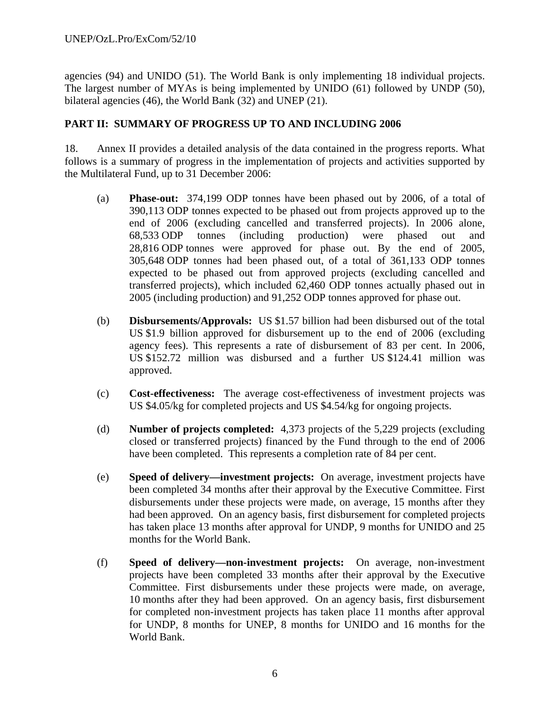agencies (94) and UNIDO (51). The World Bank is only implementing 18 individual projects. The largest number of MYAs is being implemented by UNIDO (61) followed by UNDP (50), bilateral agencies (46), the World Bank (32) and UNEP (21).

## **PART II: SUMMARY OF PROGRESS UP TO AND INCLUDING 2006**

18. Annex II provides a detailed analysis of the data contained in the progress reports. What follows is a summary of progress in the implementation of projects and activities supported by the Multilateral Fund, up to 31 December 2006:

- (a) **Phase-out:** 374,199 ODP tonnes have been phased out by 2006, of a total of 390,113 ODP tonnes expected to be phased out from projects approved up to the end of 2006 (excluding cancelled and transferred projects). In 2006 alone, 68,533 ODP tonnes (including production) were phased out and 28,816 ODP tonnes were approved for phase out. By the end of 2005, 305,648 ODP tonnes had been phased out, of a total of 361,133 ODP tonnes expected to be phased out from approved projects (excluding cancelled and transferred projects), which included 62,460 ODP tonnes actually phased out in 2005 (including production) and 91,252 ODP tonnes approved for phase out.
- (b) **Disbursements/Approvals:** US \$1.57 billion had been disbursed out of the total US \$1.9 billion approved for disbursement up to the end of 2006 (excluding agency fees). This represents a rate of disbursement of 83 per cent. In 2006, US \$152.72 million was disbursed and a further US \$124.41 million was approved.
- (c) **Cost-effectiveness:** The average cost-effectiveness of investment projects was US \$4.05/kg for completed projects and US \$4.54/kg for ongoing projects.
- (d) **Number of projects completed:** 4,373 projects of the 5,229 projects (excluding closed or transferred projects) financed by the Fund through to the end of 2006 have been completed. This represents a completion rate of 84 per cent.
- (e) **Speed of delivery—investment projects:** On average, investment projects have been completed 34 months after their approval by the Executive Committee. First disbursements under these projects were made, on average, 15 months after they had been approved. On an agency basis, first disbursement for completed projects has taken place 13 months after approval for UNDP, 9 months for UNIDO and 25 months for the World Bank.
- (f) **Speed of delivery—non-investment projects:** On average, non-investment projects have been completed 33 months after their approval by the Executive Committee. First disbursements under these projects were made, on average, 10 months after they had been approved. On an agency basis, first disbursement for completed non-investment projects has taken place 11 months after approval for UNDP, 8 months for UNEP, 8 months for UNIDO and 16 months for the World Bank.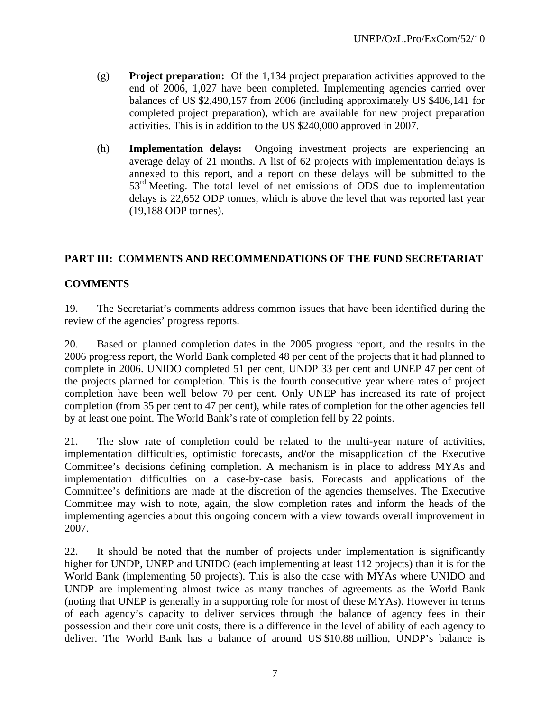- (g) **Project preparation:** Of the 1,134 project preparation activities approved to the end of 2006, 1,027 have been completed. Implementing agencies carried over balances of US \$2,490,157 from 2006 (including approximately US \$406,141 for completed project preparation), which are available for new project preparation activities. This is in addition to the US \$240,000 approved in 2007.
- (h) **Implementation delays:** Ongoing investment projects are experiencing an average delay of 21 months. A list of 62 projects with implementation delays is annexed to this report, and a report on these delays will be submitted to the 53<sup>rd</sup> Meeting. The total level of net emissions of ODS due to implementation delays is 22,652 ODP tonnes, which is above the level that was reported last year (19,188 ODP tonnes).

## **PART III: COMMENTS AND RECOMMENDATIONS OF THE FUND SECRETARIAT**

## **COMMENTS**

19. The Secretariat's comments address common issues that have been identified during the review of the agencies' progress reports.

20. Based on planned completion dates in the 2005 progress report, and the results in the 2006 progress report, the World Bank completed 48 per cent of the projects that it had planned to complete in 2006. UNIDO completed 51 per cent, UNDP 33 per cent and UNEP 47 per cent of the projects planned for completion. This is the fourth consecutive year where rates of project completion have been well below 70 per cent. Only UNEP has increased its rate of project completion (from 35 per cent to 47 per cent), while rates of completion for the other agencies fell by at least one point. The World Bank's rate of completion fell by 22 points.

21. The slow rate of completion could be related to the multi-year nature of activities, implementation difficulties, optimistic forecasts, and/or the misapplication of the Executive Committee's decisions defining completion. A mechanism is in place to address MYAs and implementation difficulties on a case-by-case basis. Forecasts and applications of the Committee's definitions are made at the discretion of the agencies themselves. The Executive Committee may wish to note, again, the slow completion rates and inform the heads of the implementing agencies about this ongoing concern with a view towards overall improvement in 2007.

22. It should be noted that the number of projects under implementation is significantly higher for UNDP, UNEP and UNIDO (each implementing at least 112 projects) than it is for the World Bank (implementing 50 projects). This is also the case with MYAs where UNIDO and UNDP are implementing almost twice as many tranches of agreements as the World Bank (noting that UNEP is generally in a supporting role for most of these MYAs). However in terms of each agency's capacity to deliver services through the balance of agency fees in their possession and their core unit costs, there is a difference in the level of ability of each agency to deliver. The World Bank has a balance of around US \$10.88 million, UNDP's balance is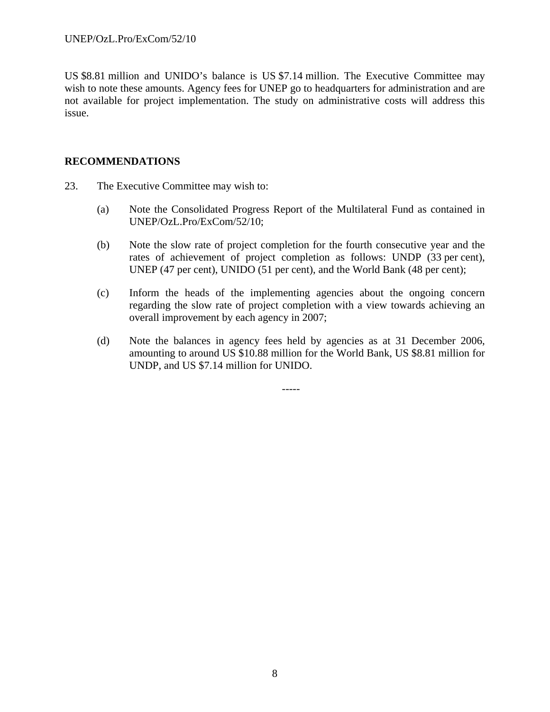US \$8.81 million and UNIDO's balance is US \$7.14 million. The Executive Committee may wish to note these amounts. Agency fees for UNEP go to headquarters for administration and are not available for project implementation. The study on administrative costs will address this issue.

#### **RECOMMENDATIONS**

- 23. The Executive Committee may wish to:
	- (a) Note the Consolidated Progress Report of the Multilateral Fund as contained in UNEP/OzL.Pro/ExCom/52/10;
	- (b) Note the slow rate of project completion for the fourth consecutive year and the rates of achievement of project completion as follows: UNDP (33 per cent), UNEP (47 per cent), UNIDO (51 per cent), and the World Bank (48 per cent);
	- (c) Inform the heads of the implementing agencies about the ongoing concern regarding the slow rate of project completion with a view towards achieving an overall improvement by each agency in 2007;
	- (d) Note the balances in agency fees held by agencies as at 31 December 2006, amounting to around US \$10.88 million for the World Bank, US \$8.81 million for UNDP, and US \$7.14 million for UNIDO.

-----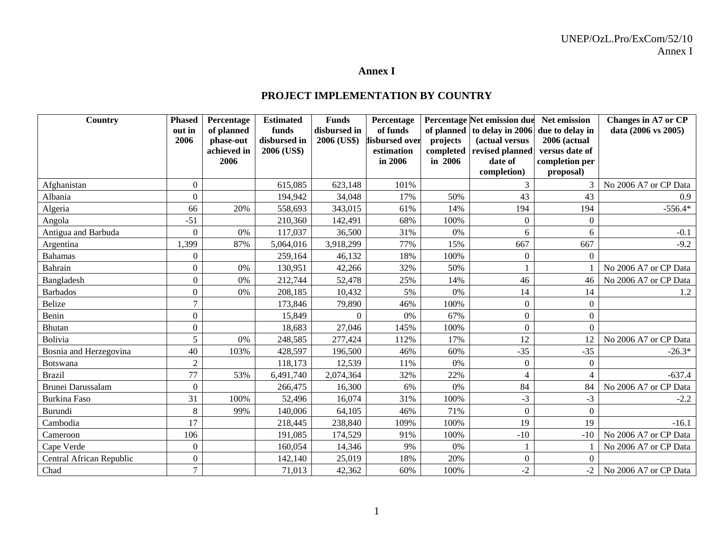#### **Annex I**

#### **PROJECT IMPLEMENTATION BY COUNTRY**

| Country                  | <b>Phased</b>    | Percentage               | <b>Estimated</b>            | <b>Funds</b> | Percentage                   |                       | Percentage Net emission due       | Net emission                   | <b>Changes in A7 or CP</b> |
|--------------------------|------------------|--------------------------|-----------------------------|--------------|------------------------------|-----------------------|-----------------------------------|--------------------------------|----------------------------|
|                          | out in           | of planned               | funds                       | disbursed in | of funds                     |                       | of planned to delay in 2006       | due to delay in                | data (2006 vs 2005)        |
|                          | 2006             | phase-out<br>achieved in | disbursed in<br>2006 (US\$) | 2006 (US\$)  | lisbursed over<br>estimation | projects<br>completed | (actual versus<br>revised planned | 2006 (actual<br>versus date of |                            |
|                          |                  | 2006                     |                             |              | in 2006                      | in 2006               | date of                           | completion per                 |                            |
|                          |                  |                          |                             |              |                              |                       | completion)                       | proposal)                      |                            |
| Afghanistan              | $\boldsymbol{0}$ |                          | 615,085                     | 623,148      | 101%                         |                       | 3                                 | $\mathcal{R}$                  | No 2006 A7 or CP Data      |
| Albania                  | $\theta$         |                          | 194,942                     | 34,048       | 17%                          | 50%                   | 43                                | 43                             | 0.9                        |
| Algeria                  | 66               | 20%                      | 558,693                     | 343,015      | 61%                          | 14%                   | 194                               | 194                            | $-556.4*$                  |
| Angola                   | $-51$            |                          | 210,360                     | 142,491      | 68%                          | 100%                  | $\overline{0}$                    | $\mathbf{0}$                   |                            |
| Antigua and Barbuda      | $\theta$         | $0\%$                    | 117,037                     | 36,500       | 31%                          | 0%                    | 6                                 | 6                              | $-0.1$                     |
| Argentina                | ,399             | 87%                      | 5,064,016                   | 3,918,299    | 77%                          | 15%                   | 667                               | 667                            | $-9.2$                     |
| <b>Bahamas</b>           | $\theta$         |                          | 259,164                     | 46,132       | 18%                          | 100%                  | $\Omega$                          | $\Omega$                       |                            |
| Bahrain                  | $\boldsymbol{0}$ | 0%                       | 130,951                     | 42,266       | 32%                          | 50%                   |                                   |                                | No 2006 A7 or CP Data      |
| Bangladesh               | $\theta$         | 0%                       | 212,744                     | 52,478       | 25%                          | 14%                   | 46                                | 46                             | No 2006 A7 or CP Data      |
| <b>Barbados</b>          | $\boldsymbol{0}$ | 0%                       | 208,185                     | 10,432       | 5%                           | 0%                    | 14                                | 14                             | 1.2                        |
| <b>Belize</b>            | $\overline{7}$   |                          | 173,846                     | 79,890       | 46%                          | 100%                  | $\overline{0}$                    | $\theta$                       |                            |
| Benin                    | $\boldsymbol{0}$ |                          | 15,849                      | $\Omega$     | 0%                           | 67%                   | $\overline{0}$                    | $\theta$                       |                            |
| Bhutan                   | $\boldsymbol{0}$ |                          | 18,683                      | 27,046       | 145%                         | 100%                  | $\boldsymbol{0}$                  | $\overline{0}$                 |                            |
| Bolivia                  | 5                | 0%                       | 248,585                     | 277,424      | 112%                         | 17%                   | 12                                | 12                             | No 2006 A7 or CP Data      |
| Bosnia and Herzegovina   | 40               | 103%                     | 428,597                     | 196,500      | 46%                          | 60%                   | $-35$                             | $-35$                          | $-26.3*$                   |
| Botswana                 | $\overline{2}$   |                          | 118,173                     | 12,539       | 11%                          | 0%                    | $\Omega$                          | $\theta$                       |                            |
| <b>Brazil</b>            | 77               | 53%                      | 6,491,740                   | 2,074,364    | 32%                          | 22%                   | $\overline{4}$                    | $\overline{4}$                 | $-637.4$                   |
| <b>Brunei Darussalam</b> | $\mathbf{0}$     |                          | 266,475                     | 16,300       | 6%                           | $0\%$                 | 84                                | 84                             | No 2006 A7 or CP Data      |
| Burkina Faso             | 31               | 100%                     | 52,496                      | 16,074       | 31%                          | 100%                  | $-3$                              | $-3$                           | $-2.2$                     |
| Burundi                  | 8                | 99%                      | 140,006                     | 64,105       | 46%                          | 71%                   | $\theta$                          | $\Omega$                       |                            |
| Cambodia                 | 17               |                          | 218,445                     | 238,840      | 109%                         | 100%                  | 19                                | 19                             | $-16.1$                    |
| Cameroon                 | 106              |                          | 191,085                     | 174,529      | 91%                          | 100%                  | $-10$                             | $-10$                          | No 2006 A7 or CP Data      |
| Cape Verde               | $\boldsymbol{0}$ |                          | 160,054                     | 14,346       | 9%                           | 0%                    |                                   |                                | No 2006 A7 or CP Data      |
| Central African Republic | $\Omega$         |                          | 142,140                     | 25,019       | 18%                          | 20%                   | $\overline{0}$                    | $\Omega$                       |                            |
| Chad                     | $\tau$           |                          | 71,013                      | 42,362       | 60%                          | 100%                  | $-2$                              | $-2$                           | No 2006 A7 or CP Data      |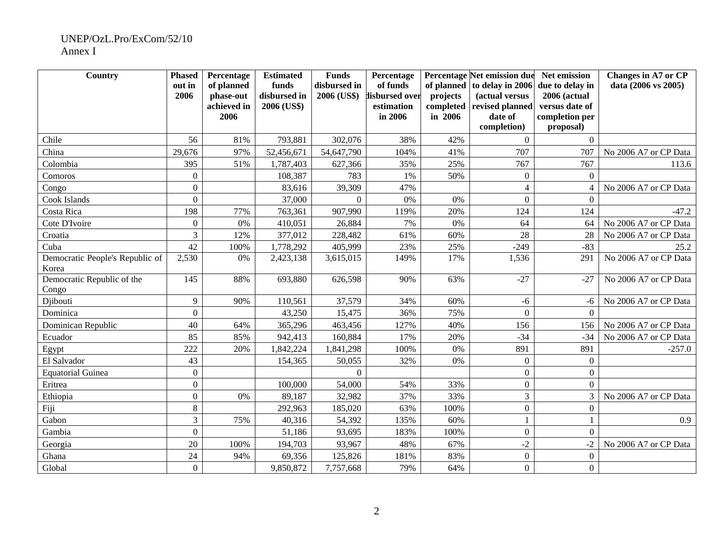#### UNEP/OzL.Pro/ExCom/52/10 Annex I

| Country                             | <b>Phased</b>    | Percentage  | <b>Estimated</b> | <b>Funds</b> | Percentage     |           | <b>Percentage Net emission due</b> | Net emission                | <b>Changes in A7 or CP</b> |
|-------------------------------------|------------------|-------------|------------------|--------------|----------------|-----------|------------------------------------|-----------------------------|----------------------------|
|                                     | out in           | of planned  | funds            | disbursed in | of funds       |           | of planned to delay in 2006        | due to delay in             | data (2006 vs 2005)        |
|                                     | 2006             | phase-out   | disbursed in     | 2006 (US\$)  | lisbursed over | projects  | (actual versus                     | 2006 (actual                |                            |
|                                     |                  | achieved in | 2006 (US\$)      |              | estimation     | completed | revised planned                    | versus date of              |                            |
|                                     |                  | 2006        |                  |              | in 2006        | in 2006   | date of<br>completion)             | completion per<br>proposal) |                            |
|                                     |                  |             |                  |              |                | 42%       |                                    |                             |                            |
| Chile                               | 56               | 81%         | 793,881          | 302,076      | 38%            |           | $\Omega$                           | $\Omega$                    |                            |
| China                               | 29,676           | 97%         | 52,456,671       | 54,647,790   | 104%           | 41%       | 707                                | 707                         | No 2006 A7 or CP Data      |
| Colombia                            | 395              | 51%         | 1,787,403        | 627,366      | 35%            | 25%       | 767                                | 767                         | 113.6                      |
| Comoros                             | $\mathbf{0}$     |             | 108,387          | 783          | 1%             | 50%       | $\mathbf{0}$                       | $\boldsymbol{0}$            |                            |
| Congo                               | $\boldsymbol{0}$ |             | 83,616           | 39,309       | 47%            |           | $\overline{4}$                     | $\overline{4}$              | No 2006 A7 or CP Data      |
| Cook Islands                        | $\overline{0}$   |             | 37,000           | $\Omega$     | $0\%$          | 0%        | $\boldsymbol{0}$                   | $\boldsymbol{0}$            |                            |
| Costa Rica                          | 198              | 77%         | 763,361          | 907,990      | 119%           | 20%       | 124                                | 124                         | $-47.2$                    |
| Cote D'Ivoire                       | $\boldsymbol{0}$ | 0%          | 410,051          | 26,884       | 7%             | 0%        | 64                                 | 64                          | No 2006 A7 or CP Data      |
| Croatia                             | 3                | 12%         | 377,012          | 228,482      | 61%            | 60%       | 28                                 | 28                          | No 2006 A7 or CP Data      |
| Cuba                                | 42               | 100%        | 1,778,292        | 405,999      | 23%            | 25%       | $-249$                             | $-83$                       | 25.2                       |
| Democratic People's Republic of     | 2,530            | 0%          | 2,423,138        | 3,615,015    | 149%           | 17%       | 1,536                              | 291                         | No 2006 A7 or CP Data      |
| Korea                               |                  |             |                  |              |                |           |                                    |                             |                            |
| Democratic Republic of the<br>Congo | 145              | 88%         | 693,880          | 626,598      | 90%            | 63%       | $-27$                              | $-27$                       | No 2006 A7 or CP Data      |
| Djibouti                            | 9                | 90%         | 110,561          | 37,579       | 34%            | 60%       | $-6$                               | -6                          | No 2006 A7 or CP Data      |
| Dominica                            | $\overline{0}$   |             | 43,250           | 15,475       | 36%            | 75%       | $\Omega$                           | $\Omega$                    |                            |
| Dominican Republic                  | 40               | 64%         | 365,296          | 463,456      | 127%           | 40%       | 156                                | 156                         | No 2006 A7 or CP Data      |
| Ecuador                             | 85               | 85%         | 942,413          | 160,884      | 17%            | 20%       | $-34$                              | $-34$                       | No 2006 A7 or CP Data      |
| Egypt                               | 222              | 20%         | 1,842,224        | 1,841,298    | 100%           | 0%        | 891                                | 891                         | $-257.0$                   |
| El Salvador                         | 43               |             | 154,365          | 50,055       | 32%            | 0%        | $\boldsymbol{0}$                   | $\boldsymbol{0}$            |                            |
| <b>Equatorial Guinea</b>            | $\overline{0}$   |             |                  | $\theta$     |                |           | $\overline{0}$                     | $\boldsymbol{0}$            |                            |
| Eritrea                             | $\boldsymbol{0}$ |             | 100,000          | 54,000       | 54%            | 33%       | $\boldsymbol{0}$                   | $\overline{0}$              |                            |
| Ethiopia                            | $\overline{0}$   | 0%          | 89,187           | 32,982       | 37%            | 33%       | 3                                  | $\overline{3}$              | No 2006 A7 or CP Data      |
| Fiji                                | $8\,$            |             | 292,963          | 185,020      | 63%            | 100%      | $\overline{0}$                     | $\mathbf{0}$                |                            |
| Gabon                               | 3                | 75%         | 40,316           | 54,392       | 135%           | 60%       | 1                                  | $\mathbf{1}$                | 0.9                        |
| Gambia                              | $\boldsymbol{0}$ |             | 51,186           | 93,695       | 183%           | 100%      | $\boldsymbol{0}$                   | $\mathbf{0}$                |                            |
| Georgia                             | 20               | 100%        | 194,703          | 93,967       | 48%            | 67%       | $-2$                               | $-2$                        | No 2006 A7 or CP Data      |
| Ghana                               | 24               | 94%         | 69,356           | 125,826      | 181%           | 83%       | $\overline{0}$                     | $\overline{0}$              |                            |
| Global                              | $\Omega$         |             | 9,850,872        | 7,757,668    | 79%            | 64%       | $\Omega$                           | $\overline{0}$              |                            |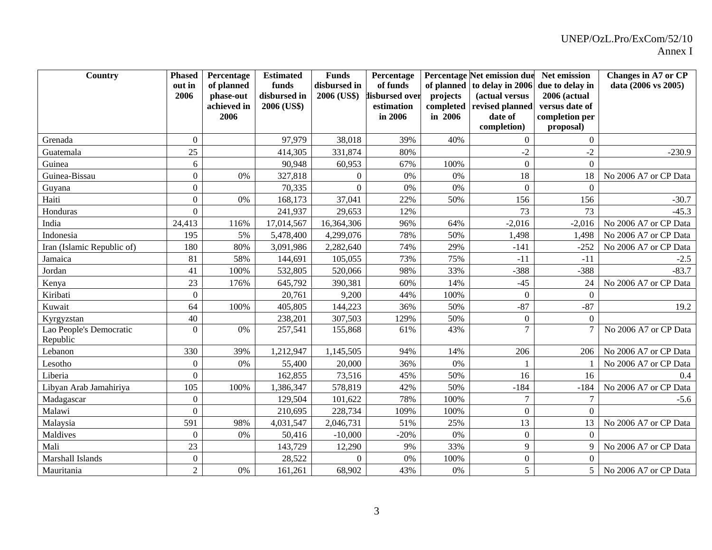| Country                    | <b>Phased</b>    | Percentage  | <b>Estimated</b> | <b>Funds</b> | Percentage     | Percentage Net emission due |                  | Net emission     | <b>Changes in A7 or CP</b> |
|----------------------------|------------------|-------------|------------------|--------------|----------------|-----------------------------|------------------|------------------|----------------------------|
|                            | out in           | of planned  | funds            | disbursed in | of funds       | of planned                  | to delay in 2006 | due to delay in  | data (2006 vs 2005)        |
|                            | 2006             | phase-out   | disbursed in     | 2006 (US\$)  | lisbursed over | projects                    | (actual versus   | 2006 (actual     |                            |
|                            |                  | achieved in | 2006 (US\$)      |              | estimation     | completed                   | revised planned  | versus date of   |                            |
|                            |                  | 2006        |                  |              | in 2006        | in 2006                     | date of          | completion per   |                            |
|                            |                  |             |                  |              |                |                             | completion)      | proposal)        |                            |
| Grenada                    | $\boldsymbol{0}$ |             | 97,979           | 38,018       | 39%            | 40%                         | $\overline{0}$   | $\boldsymbol{0}$ |                            |
| Guatemala                  | 25               |             | 414,305          | 331,874      | 80%            |                             | $-2$             | $-2$             | $-230.9$                   |
| Guinea                     | 6                |             | 90,948           | 60,953       | 67%            | 100%                        | $\mathbf{0}$     | $\Omega$         |                            |
| Guinea-Bissau              | $\overline{0}$   | 0%          | 327,818          | $\theta$     | 0%             | 0%                          | 18               | 18               | No 2006 A7 or CP Data      |
| Guyana                     | $\overline{0}$   |             | 70,335           | $\mathbf{0}$ | $0\%$          | 0%                          | $\boldsymbol{0}$ | $\boldsymbol{0}$ |                            |
| Haiti                      | $\Omega$         | $0\%$       | 168,173          | 37,041       | 22%            | 50%                         | 156              | 156              | $-30.7$                    |
| Honduras                   | $\Omega$         |             | 241,937          | 29,653       | 12%            |                             | 73               | 73               | $-45.3$                    |
| India                      | 24,413           | 116%        | 17,014,567       | 16,364,306   | 96%            | 64%                         | $-2,016$         | $-2,016$         | No 2006 A7 or CP Data      |
| Indonesia                  | 195              | 5%          | 5,478,400        | 4,299,076    | 78%            | 50%                         | 1,498            | 1,498            | No 2006 A7 or CP Data      |
| Iran (Islamic Republic of) | 180              | 80%         | 3,091,986        | 2,282,640    | 74%            | 29%                         | $-141$           | $-252$           | No 2006 A7 or CP Data      |
| Jamaica                    | 81               | 58%         | 144,691          | 105,055      | 73%            | 75%                         | $-11$            | $-11$            | $-2.5$                     |
| Jordan                     | 41               | 100%        | 532,805          | 520,066      | 98%            | 33%                         | $-388$           | $-388$           | $-83.7$                    |
| Kenya                      | 23               | 176%        | 645,792          | 390,381      | 60%            | 14%                         | $-45$            | 24               | No 2006 A7 or CP Data      |
| Kiribati                   | $\boldsymbol{0}$ |             | 20,761           | 9,200        | 44%            | 100%                        | $\overline{0}$   | $\boldsymbol{0}$ |                            |
| Kuwait                     | 64               | 100%        | 405,805          | 144,223      | 36%            | 50%                         | $-87$            | $-87$            | 19.2                       |
| Kyrgyzstan                 | 40               |             | 238,201          | 307,503      | 129%           | 50%                         | $\boldsymbol{0}$ | $\overline{0}$   |                            |
| Lao People's Democratic    | $\overline{0}$   | 0%          | 257,541          | 155,868      | 61%            | 43%                         | $\overline{7}$   | 7                | No 2006 A7 or CP Data      |
| Republic                   |                  |             |                  |              |                |                             |                  |                  |                            |
| Lebanon                    | 330              | 39%         | 1,212,947        | 1,145,505    | 94%            | 14%                         | 206              | 206              | No 2006 A7 or CP Data      |
| Lesotho                    | $\overline{0}$   | 0%          | 55,400           | 20,000       | 36%            | 0%                          |                  |                  | No 2006 A7 or CP Data      |
| Liberia                    | $\theta$         |             | 162,855          | 73,516       | 45%            | 50%                         | 16               | 16               | 0.4                        |
| Libyan Arab Jamahiriya     | 105              | 100%        | 1,386,347        | 578,819      | 42%            | 50%                         | $-184$           | $-184$           | No 2006 A7 or CP Data      |
| Madagascar                 | $\overline{0}$   |             | 129,504          | 101,622      | 78%            | 100%                        | $\tau$           | $\overline{7}$   | $-5.6$                     |
| Malawi                     | $\theta$         |             | 210,695          | 228,734      | 109%           | 100%                        | $\boldsymbol{0}$ | $\Omega$         |                            |
| Malaysia                   | 591              | 98%         | 4,031,547        | 2,046,731    | 51%            | 25%                         | 13               | 13               | No 2006 A7 or CP Data      |
| Maldives                   | $\Omega$         | 0%          | 50,416           | $-10,000$    | $-20%$         | 0%                          | $\boldsymbol{0}$ | $\overline{0}$   |                            |
| Mali                       | 23               |             | 143,729          | 12,290       | 9%             | 33%                         | 9                | 9                | No 2006 A7 or CP Data      |
| Marshall Islands           | $\boldsymbol{0}$ |             | 28,522           | $\theta$     | 0%             | 100%                        | $\boldsymbol{0}$ | $\Omega$         |                            |
| Mauritania                 | $\overline{2}$   | 0%          | 161,261          | 68,902       | 43%            | 0%                          | 5                | 5 <sup>1</sup>   | No 2006 A7 or CP Data      |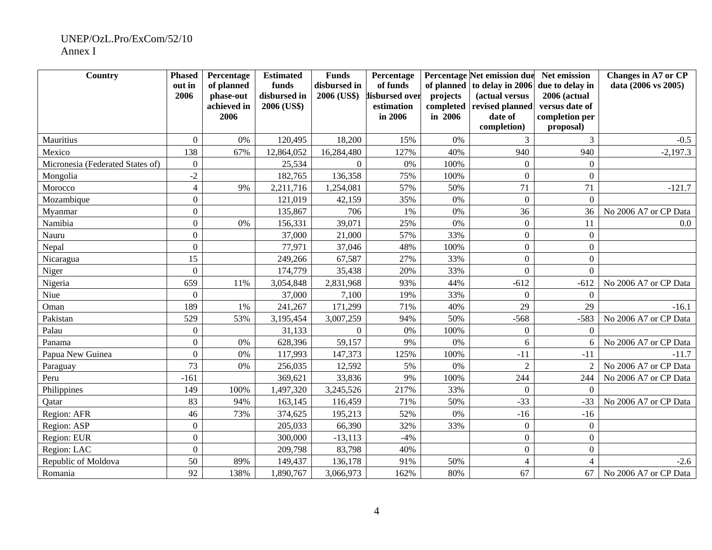#### UNEP/OzL.Pro/ExCom/52/10 Annex I

| Country                          | <b>Phased</b>    | Percentage               | <b>Estimated</b>            | <b>Funds</b> | Percentage                   |                       | Percentage Net emission due       | Net emission                   | Changes in A7 or CP   |
|----------------------------------|------------------|--------------------------|-----------------------------|--------------|------------------------------|-----------------------|-----------------------------------|--------------------------------|-----------------------|
|                                  | out in           | of planned               | funds                       | disbursed in | of funds                     |                       | of planned to delay in 2006       | due to delay in                | data (2006 vs 2005)   |
|                                  | 2006             | phase-out<br>achieved in | disbursed in<br>2006 (US\$) | 2006 (US\$)  | lisbursed over<br>estimation | projects<br>completed | (actual versus<br>revised planned | 2006 (actual<br>versus date of |                       |
|                                  |                  | 2006                     |                             |              | in 2006                      | in 2006               | date of                           | completion per                 |                       |
|                                  |                  |                          |                             |              |                              |                       | completion)                       | proposal)                      |                       |
| Mauritius                        | $\mathbf{0}$     | 0%                       | 120,495                     | 18,200       | 15%                          | 0%                    | 3                                 | 3                              | $-0.5$                |
| Mexico                           | 138              | 67%                      | 12,864,052                  | 16,284,480   | 127%                         | 40%                   | 940                               | 940                            | $-2,197.3$            |
| Micronesia (Federated States of) | $\Omega$         |                          | 25,534                      | $\Omega$     | 0%                           | 100%                  | $\Omega$                          | $\Omega$                       |                       |
| Mongolia                         | $-2$             |                          | 182,765                     | 136,358      | 75%                          | 100%                  | $\Omega$                          | $\boldsymbol{0}$               |                       |
| Morocco                          | $\overline{4}$   | 9%                       | 2,211,716                   | 1,254,081    | 57%                          | 50%                   | 71                                | 71                             | $-121.7$              |
| Mozambique                       | $\overline{0}$   |                          | 121,019                     | 42,159       | 35%                          | 0%                    | $\overline{0}$                    | $\mathbf{0}$                   |                       |
| Myanmar                          | $\overline{0}$   |                          | 135,867                     | 706          | 1%                           | 0%                    | 36                                | 36                             | No 2006 A7 or CP Data |
| Namibia                          | $\overline{0}$   | 0%                       | 156,331                     | 39,071       | 25%                          | 0%                    | $\mathbf{0}$                      | 11                             | 0.0                   |
| Nauru                            | $\overline{0}$   |                          | 37,000                      | 21,000       | 57%                          | 33%                   | $\overline{0}$                    | $\boldsymbol{0}$               |                       |
| Nepal                            | $\overline{0}$   |                          | 77,971                      | 37,046       | 48%                          | 100%                  | $\overline{0}$                    | $\mathbf{0}$                   |                       |
| Nicaragua                        | 15               |                          | 249,266                     | 67,587       | 27%                          | 33%                   | $\overline{0}$                    | $\mathbf{0}$                   |                       |
| Niger                            | $\boldsymbol{0}$ |                          | 174,779                     | 35,438       | 20%                          | 33%                   | $\overline{0}$                    | $\overline{0}$                 |                       |
| Nigeria                          | 659              | 11%                      | 3,054,848                   | 2,831,968    | 93%                          | 44%                   | $-612$                            | $-612$                         | No 2006 A7 or CP Data |
| Niue                             | $\boldsymbol{0}$ |                          | 37,000                      | 7,100        | 19%                          | 33%                   | $\Omega$                          | $\boldsymbol{0}$               |                       |
| Oman                             | 189              | 1%                       | 241,267                     | 171,299      | 71%                          | 40%                   | 29                                | 29                             | $-16.1$               |
| Pakistan                         | 529              | 53%                      | 3,195,454                   | 3,007,259    | 94%                          | 50%                   | $-568$                            | $-583$                         | No 2006 A7 or CP Data |
| Palau                            | $\boldsymbol{0}$ |                          | 31,133                      | $\Omega$     | 0%                           | 100%                  | $\overline{0}$                    | $\Omega$                       |                       |
| Panama                           | $\boldsymbol{0}$ | 0%                       | 628,396                     | 59,157       | 9%                           | 0%                    | 6                                 | 6                              | No 2006 A7 or CP Data |
| Papua New Guinea                 | $\overline{0}$   | 0%                       | 117,993                     | 147,373      | 125%                         | 100%                  | $-11$                             | $-11$                          | $-11.7$               |
| Paraguay                         | 73               | 0%                       | 256,035                     | 12,592       | 5%                           | 0%                    | $\overline{2}$                    | 2                              | No 2006 A7 or CP Data |
| Peru                             | $-161$           |                          | 369,621                     | 33,836       | 9%                           | 100%                  | 244                               | 244                            | No 2006 A7 or CP Data |
| Philippines                      | 149              | 100%                     | 1,497,320                   | 3,245,526    | 217%                         | 33%                   | $\Omega$                          | $\Omega$                       |                       |
| Qatar                            | 83               | 94%                      | 163,145                     | 116,459      | 71%                          | 50%                   | $-33$                             | $-33$                          | No 2006 A7 or CP Data |
| Region: AFR                      | 46               | 73%                      | 374,625                     | 195,213      | 52%                          | 0%                    | $-16$                             | $-16$                          |                       |
| Region: ASP                      | $\boldsymbol{0}$ |                          | 205,033                     | 66,390       | 32%                          | 33%                   | $\Omega$                          | $\overline{0}$                 |                       |
| Region: EUR                      | $\overline{0}$   |                          | 300,000                     | $-13,113$    | $-4%$                        |                       | $\mathbf{0}$                      | $\boldsymbol{0}$               |                       |
| Region: LAC                      | $\overline{0}$   |                          | 209,798                     | 83,798       | 40%                          |                       | $\overline{0}$                    | $\overline{0}$                 |                       |
| Republic of Moldova              | 50               | 89%                      | 149,437                     | 136,178      | 91%                          | 50%                   | $\overline{4}$                    | $\overline{4}$                 | $-2.6$                |
| Romania                          | 92               | 138%                     | 1,890,767                   | 3,066,973    | 162%                         | 80%                   | 67                                | 67                             | No 2006 A7 or CP Data |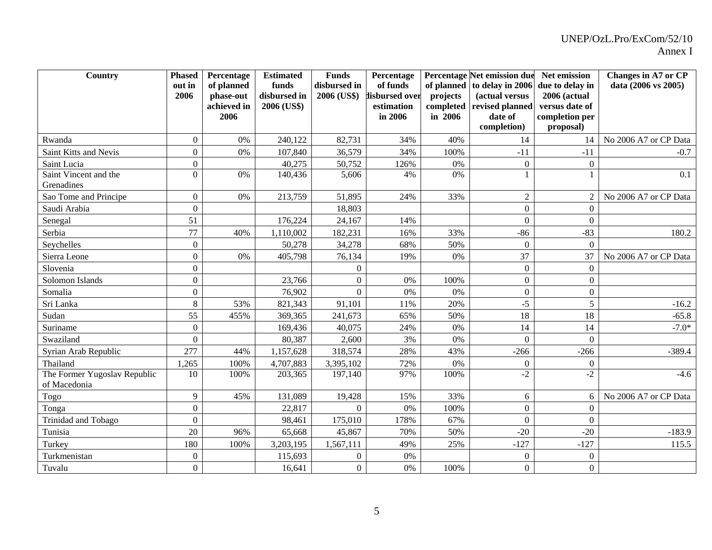| Country                                      | <b>Phased</b>                      | Percentage          | <b>Estimated</b>  | <b>Funds</b>     | Percentage            |            | Percentage Net emission due | Net emission                | <b>Changes in A7 or CP</b> |
|----------------------------------------------|------------------------------------|---------------------|-------------------|------------------|-----------------------|------------|-----------------------------|-----------------------------|----------------------------|
|                                              | out in                             | of planned          | funds             | disbursed in     | of funds              | of planned | to delay in 2006            | due to delay in             | data (2006 vs 2005)        |
|                                              | 2006                               | phase-out           | disbursed in      | 2006 (US\$)      | lisbursed over        | projects   | (actual versus              | 2006 (actual                |                            |
|                                              |                                    | achieved in<br>2006 | 2006 (US\$)       |                  | estimation<br>in 2006 | completed  | revised planned             | versus date of              |                            |
|                                              |                                    |                     |                   |                  |                       | in 2006    | date of<br>completion)      | completion per<br>proposal) |                            |
| Rwanda                                       | $\Omega$                           | 0%                  | 240,122           | 82,731           | 34%                   | 40%        | 14                          |                             | No 2006 A7 or CP Data      |
| Saint Kitts and Nevis                        | $\theta$                           | 0%                  | 107,840           | 36,579           | 34%                   | 100%       | $-11$                       | 14<br>$-11$                 |                            |
|                                              |                                    |                     |                   |                  |                       |            |                             |                             | $-0.7$                     |
| Saint Lucia<br>Saint Vincent and the         | $\boldsymbol{0}$<br>$\overline{0}$ | 0%                  | 40,275<br>140,436 | 50,752<br>5,606  | 126%<br>4%            | 0%<br>0%   | $\boldsymbol{0}$            | $\boldsymbol{0}$            | 0.1                        |
| Grenadines                                   |                                    |                     |                   |                  |                       |            |                             |                             |                            |
| Sao Tome and Principe                        | $\overline{0}$                     | 0%                  | 213,759           | 51,895           | 24%                   | 33%        | $\overline{2}$              | 2 <sup>1</sup>              | No 2006 A7 or CP Data      |
| Saudi Arabia                                 | $\overline{0}$                     |                     |                   | 18,803           |                       |            | $\mathbf{0}$                | $\overline{0}$              |                            |
| Senegal                                      | 51                                 |                     | 176,224           | 24,167           | 14%                   |            | $\boldsymbol{0}$            | $\overline{0}$              |                            |
| Serbia                                       | 77                                 | 40%                 | 1,110,002         | 182,231          | 16%                   | 33%        | $-86$                       | $-83$                       | 180.2                      |
| Seychelles                                   | $\overline{0}$                     |                     | 50,278            | 34,278           | 68%                   | 50%        | $\boldsymbol{0}$            | $\overline{0}$              |                            |
| Sierra Leone                                 | $\overline{0}$                     | 0%                  | 405,798           | 76,134           | 19%                   | 0%         | 37                          | 37                          | No 2006 A7 or CP Data      |
| Slovenia                                     | $\overline{0}$                     |                     |                   | $\theta$         |                       |            | $\boldsymbol{0}$            | $\overline{0}$              |                            |
| Solomon Islands                              | $\boldsymbol{0}$                   |                     | 23,766            | $\boldsymbol{0}$ | $0\%$                 | 100%       | $\boldsymbol{0}$            | $\overline{0}$              |                            |
| Somalia                                      | $\overline{0}$                     |                     | 76,902            | $\Omega$         | 0%                    | 0%         | $\boldsymbol{0}$            | $\boldsymbol{0}$            |                            |
| Sri Lanka                                    | 8                                  | 53%                 | 821,343           | 91,101           | 11%                   | 20%        | $-5$                        | 5                           | $-16.2$                    |
| Sudan                                        | 55                                 | 455%                | 369,365           | 241,673          | 65%                   | 50%        | 18                          | 18                          | $-65.8$                    |
| Suriname                                     | $\mathbf{0}$                       |                     | 169,436           | 40,075           | 24%                   | 0%         | 14                          | 14                          | $-7.0*$                    |
| Swaziland                                    | $\boldsymbol{0}$                   |                     | 80,387            | 2,600            | 3%                    | 0%         | $\overline{0}$              | $\boldsymbol{0}$            |                            |
| Syrian Arab Republic                         | 277                                | 44%                 | 1,157,628         | 318,574          | 28%                   | 43%        | $-266$                      | $-266$                      | $-389.4$                   |
| Thailand                                     | 1,265                              | 100%                | 4,707,883         | 3,395,102        | 72%                   | 0%         | $\overline{0}$              | $\boldsymbol{0}$            |                            |
| The Former Yugoslav Republic<br>of Macedonia | 10                                 | 100%                | 203,365           | 197,140          | 97%                   | 100%       | $-2$                        | $-2$                        | $-4.6$                     |
| Togo                                         | 9                                  | 45%                 | 131,089           | 19,428           | 15%                   | 33%        | 6                           | 6                           | No 2006 A7 or CP Data      |
| Tonga                                        | $\overline{0}$                     |                     | 22,817            | $\Omega$         | $0\%$                 | 100%       | $\boldsymbol{0}$            | $\boldsymbol{0}$            |                            |
| Trinidad and Tobago                          | $\overline{0}$                     |                     | 98,461            | 175,010          | 178%                  | 67%        | $\boldsymbol{0}$            | $\overline{0}$              |                            |
| Tunisia                                      | 20                                 | 96%                 | 65,668            | 45,867           | 70%                   | 50%        | $-20$                       | $-20$                       | $-183.9$                   |
| Turkey                                       | 180                                | 100%                | 3,203,195         | 1,567,111        | 49%                   | 25%        | $-127$                      | $-127$                      | 115.5                      |
| Turkmenistan                                 | $\Omega$                           |                     | 115,693           | $\boldsymbol{0}$ | $0\%$                 |            | $\Omega$                    | $\overline{0}$              |                            |
| Tuvalu                                       | $\overline{0}$                     |                     | 16,641            | $\overline{0}$   | 0%                    | 100%       | $\overline{0}$              | $\overline{0}$              |                            |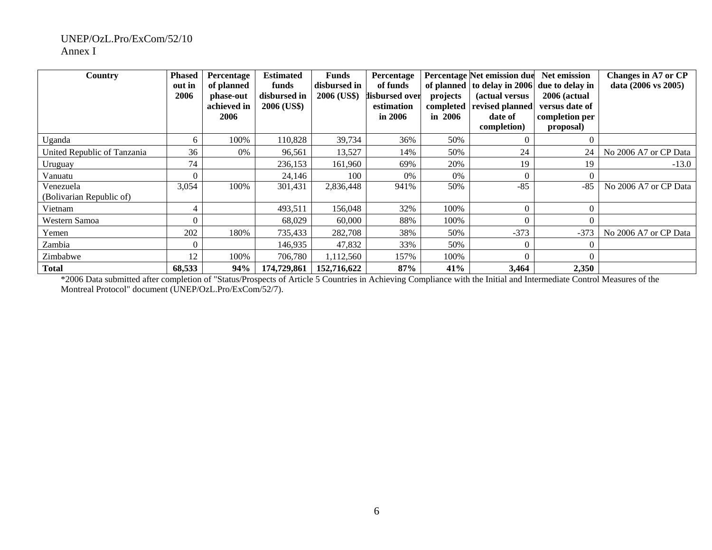#### UNEP/OzL.Pro/ExCom/52/10 Annex I

| Country                               | <b>Phased</b><br>out in<br>2006 | Percentage<br>of planned<br>phase-out<br>achieved in<br>2006 | <b>Estimated</b><br>funds<br>disbursed in<br>2006 (US\$) | <b>Funds</b><br>disbursed in<br>2006 (US\$) | Percentage<br>of funds<br>lisbursed over<br>estimation<br>in 2006 | projects<br>completed<br>in $2006$ | <b>Percentage Net emission due</b><br>of planned to delay in 2006<br>(actual versus<br>revised planned<br>date of<br>completion) | <b>Net emission</b><br>due to delay in<br>2006 (actual<br>versus date of<br>completion per<br>proposal) | Changes in A7 or CP<br>data (2006 vs 2005) |
|---------------------------------------|---------------------------------|--------------------------------------------------------------|----------------------------------------------------------|---------------------------------------------|-------------------------------------------------------------------|------------------------------------|----------------------------------------------------------------------------------------------------------------------------------|---------------------------------------------------------------------------------------------------------|--------------------------------------------|
| Uganda                                | 6                               | 100%                                                         | 110,828                                                  | 39,734                                      | 36%                                                               | 50%                                | $\Omega$                                                                                                                         |                                                                                                         |                                            |
| United Republic of Tanzania           | 36                              | 0%                                                           | 96,561                                                   | 13,527                                      | 14%                                                               | 50%                                | 24                                                                                                                               | 24                                                                                                      | No 2006 A7 or CP Data                      |
| Uruguay                               | 74                              |                                                              | 236,153                                                  | 161,960                                     | 69%                                                               | 20%                                | 19                                                                                                                               | 19                                                                                                      | $-13.0$                                    |
| Vanuatu                               |                                 |                                                              | 24,146                                                   | 100                                         | 0%                                                                | 0%                                 | $\Omega$                                                                                                                         |                                                                                                         |                                            |
| Venezuela<br>(Bolivarian Republic of) | 3,054                           | 100%                                                         | 301,431                                                  | 2,836,448                                   | 941%                                                              | 50%                                | $-85$                                                                                                                            | $-85$                                                                                                   | No 2006 A7 or CP Data                      |
| Vietnam                               |                                 |                                                              | 493,511                                                  | 156,048                                     | 32%                                                               | 100%                               | $\Omega$                                                                                                                         |                                                                                                         |                                            |
| Western Samoa                         |                                 |                                                              | 68,029                                                   | 60,000                                      | 88%                                                               | 100%                               | $\Omega$                                                                                                                         |                                                                                                         |                                            |
| Yemen                                 | 202                             | 180%                                                         | 735,433                                                  | 282,708                                     | 38%                                                               | 50%                                | $-373$                                                                                                                           | $-373$                                                                                                  | No 2006 A7 or CP Data                      |
| Zambia                                |                                 |                                                              | 146,935                                                  | 47,832                                      | 33%                                                               | 50%                                | $\Omega$                                                                                                                         |                                                                                                         |                                            |
| Zimbabwe                              | 12                              | 100%                                                         | 706,780                                                  | 1,112,560                                   | 157%                                                              | 100%                               | $\Omega$                                                                                                                         |                                                                                                         |                                            |
| <b>Total</b>                          | 68,533                          | 94%                                                          | 174,729,861                                              | 152,716,622                                 | 87%                                                               | 41%                                | 3,464                                                                                                                            | 2,350                                                                                                   |                                            |

\*2006 Data submitted after completion of "Status/Prospects of Article 5 Countries in Achieving Compliance with the Initial and Intermediate Control Measures of the Montreal Protocol" document (UNEP/OzL.Pro/ExCom/52/7).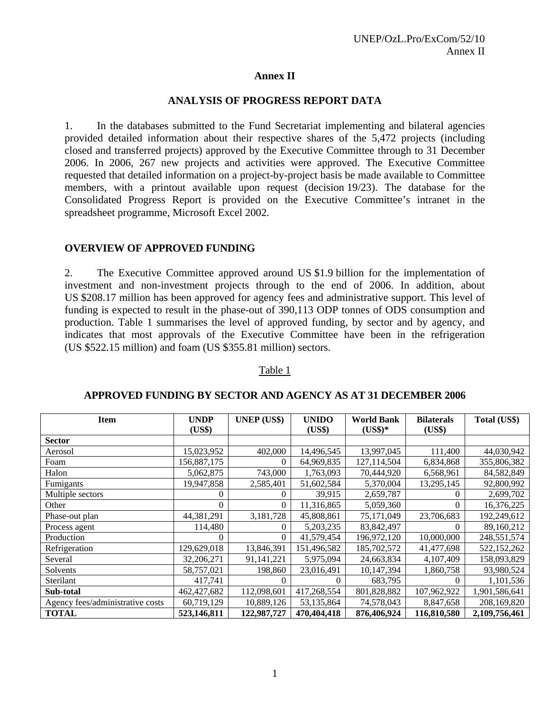#### **Annex II**

#### **ANALYSIS OF PROGRESS REPORT DATA**

1. In the databases submitted to the Fund Secretariat implementing and bilateral agencies provided detailed information about their respective shares of the 5,472 projects (including closed and transferred projects) approved by the Executive Committee through to 31 December 2006. In 2006, 267 new projects and activities were approved. The Executive Committee requested that detailed information on a project-by-project basis be made available to Committee members, with a printout available upon request (decision 19/23). The database for the Consolidated Progress Report is provided on the Executive Committee's intranet in the spreadsheet programme, Microsoft Excel 2002.

### **OVERVIEW OF APPROVED FUNDING**

2. The Executive Committee approved around US \$1.9 billion for the implementation of investment and non-investment projects through to the end of 2006. In addition, about US \$208.17 million has been approved for agency fees and administrative support. This level of funding is expected to result in the phase-out of 390,113 ODP tonnes of ODS consumption and production. Table 1 summarises the level of approved funding, by sector and by agency, and indicates that most approvals of the Executive Committee have been in the refrigeration (US \$522.15 million) and foam (US \$355.81 million) sectors.

#### Table 1

| <b>Item</b>                      | <b>UNDP</b><br>(US\$) | <b>UNEP</b> (US\$) | <b>UNIDO</b><br>(US\$) | <b>World Bank</b><br>$(US$)*$ | <b>Bilaterals</b><br>(US\$) | Total (US\$)  |
|----------------------------------|-----------------------|--------------------|------------------------|-------------------------------|-----------------------------|---------------|
| <b>Sector</b>                    |                       |                    |                        |                               |                             |               |
| Aerosol                          | 15,023,952            | 402,000            | 14,496,545             | 13,997,045                    | 111,400                     | 44,030,942    |
| Foam                             | 156,887,175           | $\theta$           | 64,969,835             | 127,114,504                   | 6,834,868                   | 355,806,382   |
| Halon                            | 5,062,875             | 743,000            | 1,763,093              | 70,444,920                    | 6,568,961                   | 84,582,849    |
| Fumigants                        | 19,947,858            | 2,585,401          | 51,602,584             | 5,370,004                     | 13,295,145                  | 92,800,992    |
| Multiple sectors                 | 0                     | $\Omega$           | 39,915                 | 2,659,787                     | $\theta$                    | 2,699,702     |
| Other                            | $\Omega$              | $\theta$           | 11,316,865             | 5,059,360                     | $\Omega$                    | 16,376,225    |
| Phase-out plan                   | 44,381,291            | 3,181,728          | 45,808,861             | 75,171,049                    | 23,706,683                  | 192,249,612   |
| Process agent                    | 114,480               | $\Omega$           | 5,203,235              | 83, 842, 497                  |                             | 89,160,212    |
| Production                       | 0                     | $\Omega$           | 41,579,454             | 196,972,120                   | 10,000,000                  | 248,551,574   |
| Refrigeration                    | 129,629,018           | 13,846,391         | 151,496,582            | 185,702,572                   | 41,477,698                  | 522,152,262   |
| Several                          | 32,206,271            | 91,141,221         | 5,975,094              | 24,663,834                    | 4,107,409                   | 158,093,829   |
| Solvents                         | 58,757,021            | 198,860            | 23,016,491             | 10,147,394                    | 1,860,758                   | 93,980,524    |
| Sterilant                        | 417,741               |                    |                        | 683,795                       |                             | 1,101,536     |
| Sub-total                        | 462, 427, 682         | 112,098,601        | 417,268,554            | 801,828,882                   | 107,962,922                 | 1,901,586,641 |
| Agency fees/administrative costs | 60,719,129            | 10,889,126         | 53,135,864             | 74,578,043                    | 8,847,658                   | 208,169,820   |
| <b>TOTAL</b>                     | 523,146,811           | 122,987,727        | 470,404,418            | 876,406,924                   | 116,810,580                 | 2,109,756,461 |

#### **APPROVED FUNDING BY SECTOR AND AGENCY AS AT 31 DECEMBER 2006**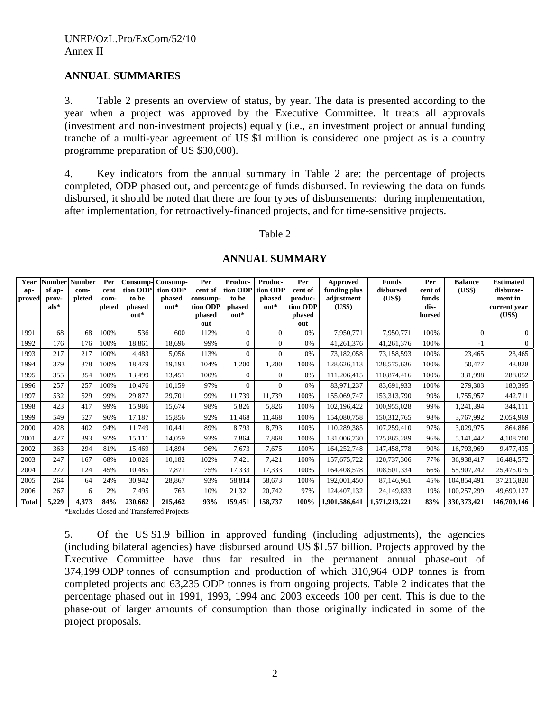#### **ANNUAL SUMMARIES**

3. Table 2 presents an overview of status, by year. The data is presented according to the year when a project was approved by the Executive Committee. It treats all approvals (investment and non-investment projects) equally (i.e., an investment project or annual funding tranche of a multi-year agreement of US \$1 million is considered one project as is a country programme preparation of US \$30,000).

4. Key indicators from the annual summary in Table 2 are: the percentage of projects completed, ODP phased out, and percentage of funds disbursed. In reviewing the data on funds disbursed, it should be noted that there are four types of disbursements: during implementation, after implementation, for retroactively-financed projects, and for time-sensitive projects.

#### Table 2

| Year<br>ap-<br>proved | <b>Number</b><br>of ap-<br>prov-<br>$als*$ | <b>Number</b><br>com-<br>pleted | Per<br>cent<br>com-<br>pleted | Consump-<br>tion ODP<br>to be<br>phased<br>out* | Consump-<br>tion ODP<br>phased<br>$out*$ | Per<br>cent of<br>consump-<br>tion ODP<br>phased<br>out | Produc-<br>tion ODP<br>to be<br>phased<br>out* | Produc-<br>tion ODP<br>phased<br>$\omega$ ut* | Per<br>cent of<br>produc-<br>tion ODP<br>phased<br>out | Approved<br>funding plus<br>adjustment<br>(US\$) | <b>Funds</b><br>disbursed<br>(US\$) | Per<br>cent of<br>funds<br>dis-<br>bursed | <b>Balance</b><br>(US\$) | <b>Estimated</b><br>disburse-<br>ment in<br>current vear<br>(US\$) |
|-----------------------|--------------------------------------------|---------------------------------|-------------------------------|-------------------------------------------------|------------------------------------------|---------------------------------------------------------|------------------------------------------------|-----------------------------------------------|--------------------------------------------------------|--------------------------------------------------|-------------------------------------|-------------------------------------------|--------------------------|--------------------------------------------------------------------|
| 1991                  | 68                                         | 68                              | 100%                          | 536                                             | 600                                      | 112%                                                    | $\Omega$                                       | $\Omega$                                      | 0%                                                     | 7,950,771                                        | 7,950,771                           | 100%                                      | $\Omega$                 | $\Omega$                                                           |
| 1992                  | 176                                        | 176                             | 100%                          | 18,861                                          | 18.696                                   | 99%                                                     | $\Omega$                                       | $\Omega$                                      | 0%                                                     | 41,261,376                                       | 41,261,376                          | 100%                                      | $-1$                     | $\overline{0}$                                                     |
| 1993                  | 217                                        | 217                             | 100%                          | 4,483                                           | 5,056                                    | 113%                                                    | $\mathbf{0}$                                   | $\mathbf{0}$                                  | 0%                                                     | 73,182,058                                       | 73,158,593                          | 100%                                      | 23,465                   | 23,465                                                             |
| 1994                  | 379                                        | 378                             | 100%                          | 18,479                                          | 19,193                                   | 104%                                                    | 1,200                                          | 1,200                                         | 100%                                                   | 128,626,113                                      | 128,575,636                         | 100%                                      | 50,477                   | 48,828                                                             |
| 1995                  | 355                                        | 354                             | 100%                          | 13,499                                          | 13,451                                   | 100%                                                    | $\Omega$                                       | $\mathbf{0}$                                  | 0%                                                     | 111,206,415                                      | 110,874,416                         | 100%                                      | 331,998                  | 288,052                                                            |
| 1996                  | 257                                        | 257                             | 100%                          | 10,476                                          | 10,159                                   | 97%                                                     | $\Omega$                                       | $\Omega$                                      | 0%                                                     | 83,971,237                                       | 83,691,933                          | 100%                                      | 279,303                  | 180,395                                                            |
| 1997                  | 532                                        | 529                             | 99%                           | 29,877                                          | 29,701                                   | 99%                                                     | 11,739                                         | 11,739                                        | 100%                                                   | 155,069,747                                      | 153,313,790                         | 99%                                       | 1,755,957                | 442,711                                                            |
| 1998                  | 423                                        | 417                             | 99%                           | 15,986                                          | 15,674                                   | 98%                                                     | 5,826                                          | 5,826                                         | 100%                                                   | 102,196,422                                      | 100,955,028                         | 99%                                       | 1,241,394                | 344,111                                                            |
| 1999                  | 549                                        | 527                             | 96%                           | 17,187                                          | 15,856                                   | 92%                                                     | 11,468                                         | 11,468                                        | 100%                                                   | 154,080,758                                      | 150, 312, 765                       | 98%                                       | 3,767,992                | 2,054,969                                                          |
| 2000                  | 428                                        | 402                             | 94%                           | 11,749                                          | 10,441                                   | 89%                                                     | 8,793                                          | 8,793                                         | 100%                                                   | 110,289,385                                      | 107,259,410                         | 97%                                       | 3,029,975                | 864,886                                                            |
| 2001                  | 427                                        | 393                             | 92%                           | 15,111                                          | 14,059                                   | 93%                                                     | 7,864                                          | 7,868                                         | 100%                                                   | 131,006,730                                      | 125,865,289                         | 96%                                       | 5,141,442                | 4,108,700                                                          |
| 2002                  | 363                                        | 294                             | 81%                           | 15,469                                          | 14,894                                   | 96%                                                     | 7,673                                          | 7,675                                         | 100%                                                   | 164,252,748                                      | 147,458,778                         | 90%                                       | 16,793,969               | 9,477,435                                                          |
| 2003                  | 247                                        | 167                             | 68%                           | 10,026                                          | 10,182                                   | 102%                                                    | 7,421                                          | 7,421                                         | 100%                                                   | 157,675,722                                      | 120,737,306                         | 77%                                       | 36,938,417               | 16,484,572                                                         |
| 2004                  | 277                                        | 124                             | 45%                           | 10,485                                          | 7,871                                    | 75%                                                     | 17,333                                         | 17,333                                        | 100%                                                   | 164,408,578                                      | 108,501,334                         | 66%                                       | 55,907,242               | 25,475,075                                                         |
| 2005                  | 264                                        | 64                              | 24%                           | 30,942                                          | 28,867                                   | 93%                                                     | 58,814                                         | 58,673                                        | 100%                                                   | 192,001,450                                      | 87,146,961                          | 45%                                       | 104,854,491              | 37,216,820                                                         |
| 2006                  | 267                                        | 6                               | 2%                            | 7,495                                           | 763                                      | 10%                                                     | 21,321                                         | 20,742                                        | 97%                                                    | 124,407,132                                      | 24,149,833                          | 19%                                       | 100,257,299              | 49,699,127                                                         |
| <b>Total</b>          | 5,229                                      | 4,373                           | 84%                           | 230,662                                         | 215,462                                  | 93%                                                     | 159,451                                        | 158,737                                       | 100%                                                   | 1,901,586,641                                    | 1,571,213,221                       | 83%                                       | 330, 373, 421            | 146,709,146                                                        |

#### **ANNUAL SUMMARY**

\*Excludes Closed and Transferred Projects

5. Of the US \$1.9 billion in approved funding (including adjustments), the agencies (including bilateral agencies) have disbursed around US \$1.57 billion. Projects approved by the Executive Committee have thus far resulted in the permanent annual phase-out of 374,199 ODP tonnes of consumption and production of which 310,964 ODP tonnes is from completed projects and 63,235 ODP tonnes is from ongoing projects. Table 2 indicates that the percentage phased out in 1991, 1993, 1994 and 2003 exceeds 100 per cent. This is due to the phase-out of larger amounts of consumption than those originally indicated in some of the project proposals.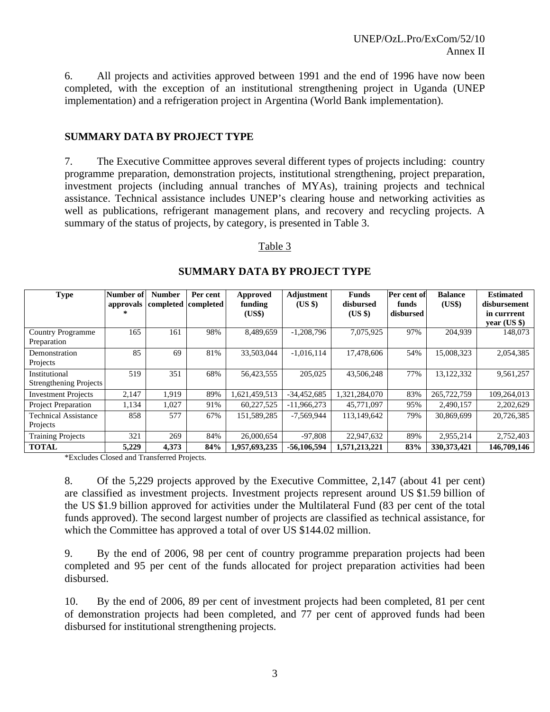6. All projects and activities approved between 1991 and the end of 1996 have now been completed, with the exception of an institutional strengthening project in Uganda (UNEP implementation) and a refrigeration project in Argentina (World Bank implementation).

#### **SUMMARY DATA BY PROJECT TYPE**

7. The Executive Committee approves several different types of projects including: country programme preparation, demonstration projects, institutional strengthening, project preparation, investment projects (including annual tranches of MYAs), training projects and technical assistance. Technical assistance includes UNEP's clearing house and networking activities as well as publications, refrigerant management plans, and recovery and recycling projects. A summary of the status of projects, by category, is presented in Table 3.

#### Table 3

| <b>Type</b>                                    | Number of | <b>Number</b> | Per cent<br>approvals completed completed | <b>Approved</b><br>funding<br>(US\$) | Adjustment<br>(US \$) | <b>Funds</b><br>disbursed<br>(US \$) | Per cent of<br>funds<br>disbursed | <b>Balance</b><br>(US\$) | <b>Estimated</b><br>disbursement<br>in currrent<br>$vear$ (US \$) |
|------------------------------------------------|-----------|---------------|-------------------------------------------|--------------------------------------|-----------------------|--------------------------------------|-----------------------------------|--------------------------|-------------------------------------------------------------------|
| <b>Country Programme</b><br>Preparation        | 165       | 161           | 98%                                       | 8,489,659                            | $-1,208,796$          | 7,075,925                            | 97%                               | 204,939                  | 148,073                                                           |
| Demonstration<br>Projects                      | 85        | 69            | 81%                                       | 33,503,044                           | $-1,016,114$          | 17,478,606                           | 54%                               | 15,008,323               | 2,054,385                                                         |
| Institutional<br><b>Strengthening Projects</b> | 519       | 351           | 68%                                       | 56,423,555                           | 205,025               | 43,506,248                           | 77%                               | 13,122,332               | 9,561,257                                                         |
| <b>Investment Projects</b>                     | 2.147     | 1.919         | 89%                                       | 1,621,459,513                        | $-34,452,685$         | 1,321,284,070                        | 83%                               | 265,722,759              | 109,264,013                                                       |
| <b>Project Preparation</b>                     | 1,134     | 1,027         | 91%                                       | 60,227,525                           | $-11,966,273$         | 45,771,097                           | 95%                               | 2,490,157                | 2,202,629                                                         |
| <b>Technical Assistance</b><br>Projects        | 858       | 577           | 67%                                       | 151,589,285                          | $-7,569,944$          | 113,149,642                          | 79%                               | 30,869,699               | 20,726,385                                                        |
| <b>Training Projects</b>                       | 321       | 269           | 84%                                       | 26,000,654                           | $-97.808$             | 22,947,632                           | 89%                               | 2,955,214                | 2,752,403                                                         |
| <b>TOTAL</b>                                   | 5,229     | 4,373         | 84%                                       | 1,957,693,235                        | $-56,106,594$         | 1,571,213,221                        | 83%                               | 330, 373, 421            | 146,709,146                                                       |

#### **SUMMARY DATA BY PROJECT TYPE**

\*Excludes Closed and Transferred Projects.

8. Of the 5,229 projects approved by the Executive Committee, 2,147 (about 41 per cent) are classified as investment projects. Investment projects represent around US \$1.59 billion of the US \$1.9 billion approved for activities under the Multilateral Fund (83 per cent of the total funds approved). The second largest number of projects are classified as technical assistance, for which the Committee has approved a total of over US \$144.02 million.

9. By the end of 2006, 98 per cent of country programme preparation projects had been completed and 95 per cent of the funds allocated for project preparation activities had been disbursed.

10. By the end of 2006, 89 per cent of investment projects had been completed, 81 per cent of demonstration projects had been completed, and 77 per cent of approved funds had been disbursed for institutional strengthening projects.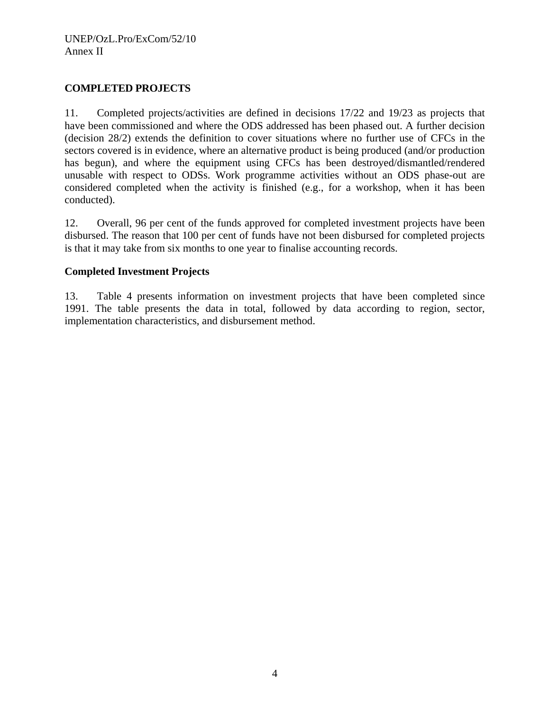## **COMPLETED PROJECTS**

11. Completed projects/activities are defined in decisions 17/22 and 19/23 as projects that have been commissioned and where the ODS addressed has been phased out. A further decision (decision 28/2) extends the definition to cover situations where no further use of CFCs in the sectors covered is in evidence, where an alternative product is being produced (and/or production has begun), and where the equipment using CFCs has been destroyed/dismantled/rendered unusable with respect to ODSs. Work programme activities without an ODS phase-out are considered completed when the activity is finished (e.g., for a workshop, when it has been conducted).

12. Overall, 96 per cent of the funds approved for completed investment projects have been disbursed. The reason that 100 per cent of funds have not been disbursed for completed projects is that it may take from six months to one year to finalise accounting records.

## **Completed Investment Projects**

13. Table 4 presents information on investment projects that have been completed since 1991. The table presents the data in total, followed by data according to region, sector, implementation characteristics, and disbursement method.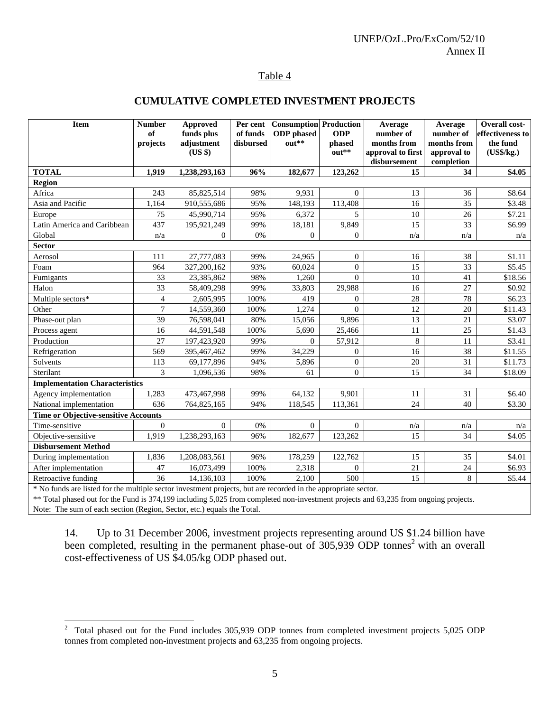#### Table 4

### **CUMULATIVE COMPLETED INVESTMENT PROJECTS**

| <b>Item</b>                                 | <b>Number</b><br>of | Approved<br>funds plus | Per cent<br>of funds | <b>Consumption</b> Production<br><b>ODP</b> phased | <b>ODP</b>     | Average<br>number of | Average<br>number of | Overall cost-<br>effectiveness to |
|---------------------------------------------|---------------------|------------------------|----------------------|----------------------------------------------------|----------------|----------------------|----------------------|-----------------------------------|
|                                             | projects            | adjustment             | disbursed            | out**                                              | phased         | months from          | months from          | the fund                          |
|                                             |                     | (US \$)                |                      |                                                    | out**          | approval to first    | approval to          | (US\$/kg.)                        |
|                                             |                     |                        |                      |                                                    |                | disbursement         | completion           |                                   |
| <b>TOTAL</b>                                | 1,919               | 1,238,293,163          | 96%                  | 182,677                                            | 123,262        | 15                   | 34                   | \$4.05                            |
| <b>Region</b><br>Africa                     | 243                 | 85,825,514             | 98%                  | 9,931                                              | $\Omega$       | 13                   | 36                   | \$8.64                            |
| Asia and Pacific                            | 1.164               | 910,555,686            | 95%                  | 148,193                                            | 113,408        | 16                   | 35                   | \$3.48                            |
|                                             | 75                  | 45,990,714             | 95%                  | 6,372                                              | $\overline{5}$ | 10                   | 26                   | \$7.21                            |
| Europe<br>Latin America and Caribbean       | 437                 | 195,921,249            | 99%                  | 18,181                                             | 9,849          | 15                   | 33                   | \$6.99                            |
| Global                                      | n/a                 | $\Omega$               | 0%                   | $\overline{0}$                                     | $\Omega$       | n/a                  | n/a                  | n/a                               |
| <b>Sector</b>                               |                     |                        |                      |                                                    |                |                      |                      |                                   |
| Aerosol                                     | 111                 | 27,777,083             | 99%                  | 24,965                                             | $\mathbf{0}$   | 16                   | 38                   | \$1.11                            |
| Foam                                        | 964                 | 327,200,162            | 93%                  | 60,024                                             | $\overline{0}$ | 15                   | 33                   | \$5.45                            |
| Fumigants                                   | 33                  | 23,385,862             | 98%                  | 1,260                                              | $\theta$       | 10                   | 41                   | \$18.56                           |
| Halon                                       | 33                  | 58,409,298             | 99%                  | 33,803                                             | 29,988         | 16                   | 27                   | \$0.92                            |
| Multiple sectors*                           | $\overline{4}$      | 2,605,995              | 100%                 | 419                                                | $\Omega$       | 28                   | 78                   | \$6.23                            |
| Other                                       | $\overline{7}$      | 14,559,360             | 100%                 | 1,274                                              | $\Omega$       | 12                   | 20                   | \$11.43                           |
| Phase-out plan                              | 39                  | 76,598,041             | 80%                  | 15,056                                             | 9,896          | 13                   | 21                   | \$3.07                            |
| Process agent                               | 16                  | 44,591,548             | 100%                 | 5,690                                              | 25,466         | 11                   | 25                   | \$1.43                            |
| Production                                  | 27                  | 197,423,920            | 99%                  | $\overline{0}$                                     | 57,912         | 8                    | 11                   | \$3.41                            |
| Refrigeration                               | 569                 | 395,467,462            | 99%                  | 34,229                                             | $\theta$       | 16                   | 38                   | \$11.55                           |
| Solvents                                    | 113                 | 69,177,896             | 94%                  | 5,896                                              | $\mathbf{0}$   | 20                   | 31                   | \$11.73                           |
| Sterilant                                   | 3                   | 1,096,536              | 98%                  | 61                                                 | $\Omega$       | 15                   | 34                   | \$18.09                           |
| <b>Implementation Characteristics</b>       |                     |                        |                      |                                                    |                |                      |                      |                                   |
| Agency implementation                       | 1,283               | 473,467,998            | 99%                  | 64,132                                             | 9,901          | 11                   | 31                   | \$6.40                            |
| National implementation                     | 636                 | 764,825,165            | 94%                  | 118,545                                            | 113,361        | 24                   | 40                   | \$3.30                            |
| <b>Time or Objective-sensitive Accounts</b> |                     |                        |                      |                                                    |                |                      |                      |                                   |
| Time-sensitive                              | $\Omega$            | $\Omega$               | 0%                   | $\overline{0}$                                     | $\Omega$       | n/a                  | n/a                  | n/a                               |
| Objective-sensitive                         | 1,919               | 1,238,293,163          | 96%                  | 182,677                                            | 123,262        | 15                   | 34                   | \$4.05                            |
| <b>Disbursement Method</b>                  |                     |                        |                      |                                                    |                |                      |                      |                                   |
| During implementation                       | 1,836               | 1,208,083,561          | 96%                  | 178,259                                            | 122,762        | 15                   | 35                   | \$4.01                            |
| After implementation                        | 47                  | 16,073,499             | 100%                 | 2,318                                              | $\Omega$       | 21                   | 24                   | \$6.93                            |
| Retroactive funding                         | 36                  | 14,136,103             | 100%                 | 2,100                                              | 500            | 15                   | 8                    | \$5.44                            |

\* No funds are listed for the multiple sector investment projects, but are recorded in the appropriate sector.

\*\* Total phased out for the Fund is 374,199 including 5,025 from completed non-investment projects and 63,235 from ongoing projects. Note: The sum of each section (Region, Sector, etc.) equals the Total.

14. Up to 31 December 2006, investment projects representing around US \$1.24 billion have been completed, resulting in the permanent phase-out of  $305,939$  ODP tonnes<sup>2</sup> with an overall cost-effectiveness of US \$4.05/kg ODP phased out.

<sup>&</sup>lt;sup>2</sup> Total phased out for the Fund includes 305,939 ODP tonnes from completed investment projects 5,025 ODP tonnes from completed non-investment projects and 63,235 from ongoing projects.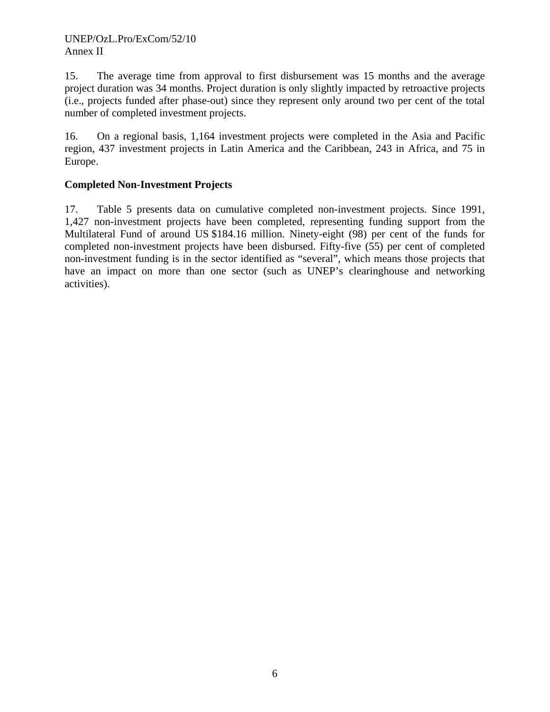15. The average time from approval to first disbursement was 15 months and the average project duration was 34 months. Project duration is only slightly impacted by retroactive projects (i.e., projects funded after phase-out) since they represent only around two per cent of the total number of completed investment projects.

16. On a regional basis, 1,164 investment projects were completed in the Asia and Pacific region, 437 investment projects in Latin America and the Caribbean, 243 in Africa, and 75 in Europe.

## **Completed Non-Investment Projects**

17. Table 5 presents data on cumulative completed non-investment projects. Since 1991, 1,427 non-investment projects have been completed, representing funding support from the Multilateral Fund of around US \$184.16 million. Ninety-eight (98) per cent of the funds for completed non-investment projects have been disbursed. Fifty-five (55) per cent of completed non-investment funding is in the sector identified as "several", which means those projects that have an impact on more than one sector (such as UNEP's clearinghouse and networking activities).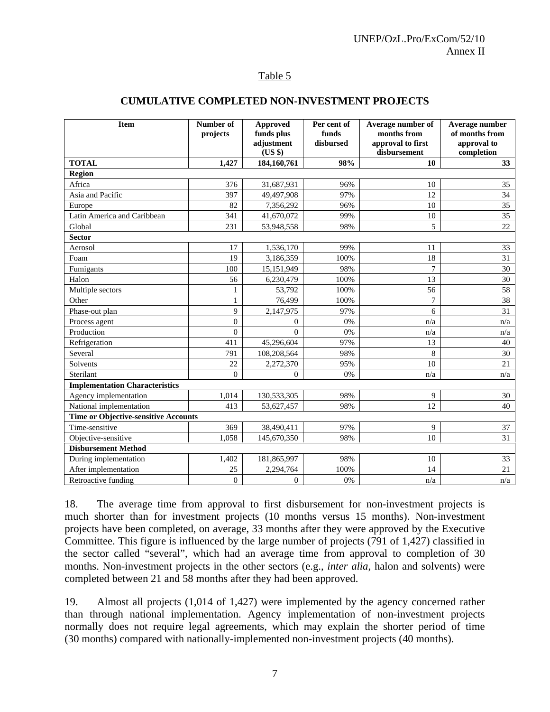#### Table 5

#### **CUMULATIVE COMPLETED NON-INVESTMENT PROJECTS**

| Item                                        | Number of<br>projects | <b>Approved</b><br>funds plus<br>adjustment<br>(US \$) | Per cent of<br>funds<br>disbursed | Average number of<br>months from<br>approval to first<br>disbursement | Average number<br>of months from<br>approval to<br>completion |
|---------------------------------------------|-----------------------|--------------------------------------------------------|-----------------------------------|-----------------------------------------------------------------------|---------------------------------------------------------------|
| <b>TOTAL</b>                                | 1,427                 | 184,160,761                                            | 98%                               | 10                                                                    | 33 <sup>3</sup>                                               |
| <b>Region</b>                               |                       |                                                        |                                   |                                                                       |                                                               |
| Africa                                      | 376                   | 31,687,931                                             | 96%                               | 10                                                                    | 35                                                            |
| Asia and Pacific                            | 397                   | 49,497,908                                             | 97%                               | 12                                                                    | 34                                                            |
| Europe                                      | 82                    | 7,356,292                                              | 96%                               | 10                                                                    | 35                                                            |
| Latin America and Caribbean                 | 341                   | 41,670,072                                             | 99%                               | 10                                                                    | 35                                                            |
| Global                                      | 231                   | 53,948,558                                             | 98%                               | 5                                                                     | 22                                                            |
| <b>Sector</b>                               |                       |                                                        |                                   |                                                                       |                                                               |
| Aerosol                                     | 17                    | 1,536,170                                              | 99%                               | 11                                                                    | 33                                                            |
| Foam                                        | 19                    | 3,186,359                                              | 100%                              | 18                                                                    | 31                                                            |
| Fumigants                                   | 100                   | 15,151,949                                             | 98%                               | $\overline{7}$                                                        | 30                                                            |
| Halon                                       | 56                    | 6,230,479                                              | 100%                              | 13                                                                    | 30                                                            |
| Multiple sectors                            | 1                     | 53,792                                                 | 100%                              | 56                                                                    | 58                                                            |
| Other                                       | $\mathbf{1}$          | 76,499                                                 | 100%                              | 7                                                                     | 38                                                            |
| Phase-out plan                              | 9                     | 2,147,975                                              | 97%                               | 6                                                                     | 31                                                            |
| Process agent                               | $\overline{0}$        | $\theta$                                               | 0%                                | n/a                                                                   | n/a                                                           |
| Production                                  | $\mathbf{0}$          | $\theta$                                               | 0%                                | n/a                                                                   | n/a                                                           |
| Refrigeration                               | 411                   | 45,296,604                                             | 97%                               | 13                                                                    | 40                                                            |
| Several                                     | 791                   | 108,208,564                                            | 98%                               | 8                                                                     | 30                                                            |
| Solvents                                    | 22                    | 2,272,370                                              | 95%                               | 10                                                                    | 21                                                            |
| Sterilant                                   | $\overline{0}$        | $\mathbf{0}$                                           | 0%                                | n/a                                                                   | n/a                                                           |
| <b>Implementation Characteristics</b>       |                       |                                                        |                                   |                                                                       |                                                               |
| Agency implementation                       | 1,014                 | 130,533,305                                            | 98%                               | 9                                                                     | 30                                                            |
| National implementation                     | 413                   | 53,627,457                                             | 98%                               | 12                                                                    | 40                                                            |
| <b>Time or Objective-sensitive Accounts</b> |                       |                                                        |                                   |                                                                       |                                                               |
| Time-sensitive                              | 369                   | 38,490,411                                             | 97%                               | 9                                                                     | 37                                                            |
| Objective-sensitive                         | 1,058                 | 145,670,350                                            | 98%                               | 10                                                                    | 31                                                            |
| <b>Disbursement Method</b>                  |                       |                                                        |                                   |                                                                       |                                                               |
| During implementation                       | 1,402                 | 181,865,997                                            | 98%                               | 10                                                                    | 33                                                            |
| After implementation                        | 25                    | 2,294,764                                              | 100%                              | 14                                                                    | 21                                                            |
| Retroactive funding                         | $\overline{0}$        | $\overline{0}$                                         | 0%                                | n/a                                                                   | n/a                                                           |

18. The average time from approval to first disbursement for non-investment projects is much shorter than for investment projects (10 months versus 15 months). Non-investment projects have been completed, on average, 33 months after they were approved by the Executive Committee. This figure is influenced by the large number of projects (791 of 1,427) classified in the sector called "several", which had an average time from approval to completion of 30 months. Non-investment projects in the other sectors (e.g., *inter alia*, halon and solvents) were completed between 21 and 58 months after they had been approved.

19. Almost all projects (1,014 of 1,427) were implemented by the agency concerned rather than through national implementation. Agency implementation of non-investment projects normally does not require legal agreements, which may explain the shorter period of time (30 months) compared with nationally-implemented non-investment projects (40 months).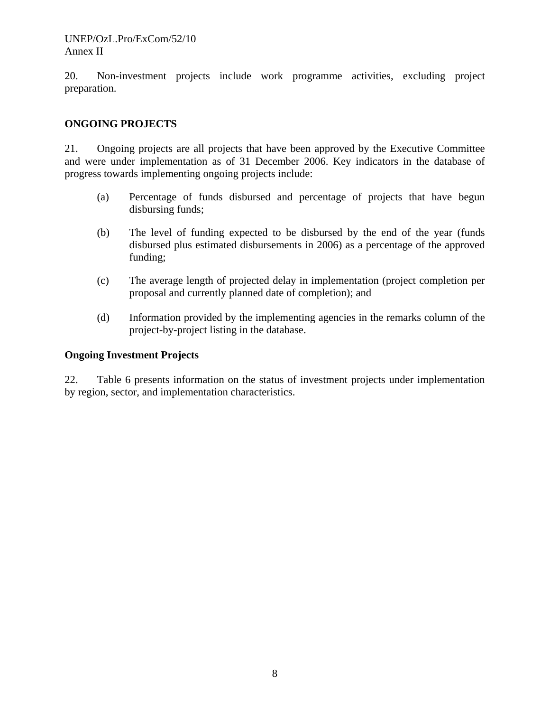20. Non-investment projects include work programme activities, excluding project preparation.

## **ONGOING PROJECTS**

21. Ongoing projects are all projects that have been approved by the Executive Committee and were under implementation as of 31 December 2006. Key indicators in the database of progress towards implementing ongoing projects include:

- (a) Percentage of funds disbursed and percentage of projects that have begun disbursing funds;
- (b) The level of funding expected to be disbursed by the end of the year (funds disbursed plus estimated disbursements in 2006) as a percentage of the approved funding;
- (c) The average length of projected delay in implementation (project completion per proposal and currently planned date of completion); and
- (d) Information provided by the implementing agencies in the remarks column of the project-by-project listing in the database.

## **Ongoing Investment Projects**

22. Table 6 presents information on the status of investment projects under implementation by region, sector, and implementation characteristics.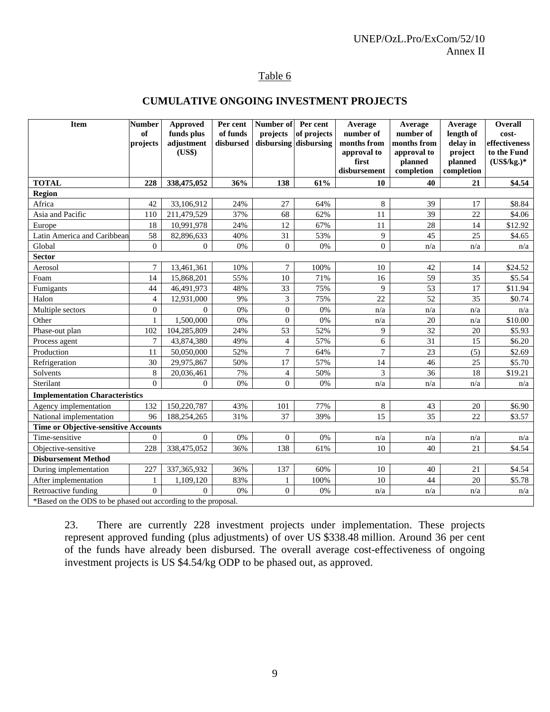# Table 6

## **CUMULATIVE ONGOING INVESTMENT PROJECTS**

| <b>Item</b>                                                   | <b>Number</b><br>of<br>projects | <b>Approved</b><br>funds plus<br>adjustment<br>(US\$) | Per cent<br>of funds<br>disbursed | Number of<br>projects<br>disbursing | Per cent<br>of projects<br>disbursing | Average<br>number of<br>months from<br>approval to<br>first<br>disbursement | Average<br>number of<br>months from<br>approval to<br>planned<br>completion | Average<br>length of<br>delay in<br>project<br>planned<br>completion | Overall<br>cost-<br>effectiveness<br>to the Fund<br>$(US\$/kg.)*$ |
|---------------------------------------------------------------|---------------------------------|-------------------------------------------------------|-----------------------------------|-------------------------------------|---------------------------------------|-----------------------------------------------------------------------------|-----------------------------------------------------------------------------|----------------------------------------------------------------------|-------------------------------------------------------------------|
| <b>TOTAL</b>                                                  | 228                             | 338,475,052                                           | 36%                               | 138                                 | 61%                                   | 10                                                                          | 40                                                                          | 21                                                                   | \$4.54                                                            |
| <b>Region</b>                                                 |                                 |                                                       |                                   |                                     |                                       |                                                                             |                                                                             |                                                                      |                                                                   |
| Africa                                                        | 42                              | 33,106,912                                            | 24%                               | 27                                  | 64%                                   | $\,$ 8 $\,$                                                                 | 39                                                                          | 17                                                                   | \$8.84                                                            |
| Asia and Pacific                                              | 110                             | 211,479,529                                           | 37%                               | 68                                  | 62%                                   | 11                                                                          | 39                                                                          | 22                                                                   | \$4.06                                                            |
| Europe                                                        | 18                              | 10,991,978                                            | 24%                               | 12                                  | 67%                                   | 11                                                                          | 28                                                                          | 14                                                                   | \$12.92                                                           |
| Latin America and Caribbean                                   | 58                              | 82,896,633                                            | 40%                               | 31                                  | 53%                                   | 9                                                                           | 45                                                                          | 25                                                                   | \$4.65                                                            |
| Global                                                        | $\mathbf{0}$                    | $\overline{0}$                                        | 0%                                | $\boldsymbol{0}$                    | 0%                                    | $\theta$                                                                    | n/a                                                                         | n/a                                                                  | n/a                                                               |
| <b>Sector</b>                                                 |                                 |                                                       |                                   |                                     |                                       |                                                                             |                                                                             |                                                                      |                                                                   |
| Aerosol                                                       | $\tau$                          | 13,461,361                                            | 10%                               | $\overline{7}$                      | 100%                                  | 10                                                                          | 42                                                                          | 14                                                                   | \$24.52                                                           |
| Foam                                                          | 14                              | 15,868,201                                            | 55%                               | 10                                  | 71%                                   | 16                                                                          | $\overline{59}$                                                             | 35                                                                   | \$5.54                                                            |
| Fumigants                                                     | 44                              | 46,491,973                                            | 48%                               | 33                                  | 75%                                   | 9                                                                           | $\overline{53}$                                                             | 17                                                                   | \$11.94                                                           |
| Halon                                                         | $\overline{4}$                  | 12,931,000                                            | 9%                                | 3                                   | 75%                                   | 22                                                                          | $\overline{52}$                                                             | 35                                                                   | \$0.74                                                            |
| Multiple sectors                                              | $\mathbf{0}$                    | $\Omega$                                              | 0%                                | $\boldsymbol{0}$                    | 0%                                    | n/a                                                                         | n/a                                                                         | n/a                                                                  | n/a                                                               |
| Other                                                         | $\mathbf{1}$                    | 1,500,000                                             | 0%                                | $\boldsymbol{0}$                    | 0%                                    | n/a                                                                         | 20                                                                          | n/a                                                                  | \$10.00                                                           |
| Phase-out plan                                                | 102                             | 104,285,809                                           | 24%                               | 53                                  | 52%                                   | 9                                                                           | 32                                                                          | 20                                                                   | \$5.93                                                            |
| Process agent                                                 | $\overline{7}$                  | 43,874,380                                            | 49%                               | $\overline{4}$                      | 57%                                   | 6                                                                           | 31                                                                          | 15                                                                   | \$6.20                                                            |
| Production                                                    | 11                              | 50.050.000                                            | 52%                               | $\tau$                              | 64%                                   | $\overline{7}$                                                              | 23                                                                          | (5)                                                                  | \$2.69                                                            |
| Refrigeration                                                 | 30                              | 29,975,867                                            | 50%                               | 17                                  | 57%                                   | 14                                                                          | 46                                                                          | 25                                                                   | \$5.70                                                            |
| Solvents                                                      | 8                               | 20,036,461                                            | 7%                                | $\overline{4}$                      | 50%                                   | 3                                                                           | 36                                                                          | 18                                                                   | \$19.21                                                           |
| Sterilant                                                     | $\overline{0}$                  | $\mathbf{0}$                                          | 0%                                | $\boldsymbol{0}$                    | 0%                                    | n/a                                                                         | n/a                                                                         | n/a                                                                  | n/a                                                               |
| <b>Implementation Characteristics</b>                         |                                 |                                                       |                                   |                                     |                                       |                                                                             |                                                                             |                                                                      |                                                                   |
| Agency implementation                                         | 132                             | 150,220,787                                           | 43%                               | 101                                 | 77%                                   | $\,8$                                                                       | 43                                                                          | 20                                                                   | \$6.90                                                            |
| National implementation                                       | 96                              | 188,254,265                                           | 31%                               | 37                                  | 39%                                   | 15                                                                          | 35                                                                          | 22                                                                   | \$3.57                                                            |
| <b>Time or Objective-sensitive Accounts</b>                   |                                 |                                                       |                                   |                                     |                                       |                                                                             |                                                                             |                                                                      |                                                                   |
| Time-sensitive                                                | $\Omega$                        | $\overline{0}$                                        | 0%                                | $\overline{0}$                      | 0%                                    | n/a                                                                         | n/a                                                                         | n/a                                                                  | n/a                                                               |
| Objective-sensitive                                           | 228                             | 338,475,052                                           | 36%                               | 138                                 | 61%                                   | 10                                                                          | 40                                                                          | 21                                                                   | \$4.54                                                            |
| <b>Disbursement Method</b>                                    |                                 |                                                       |                                   |                                     |                                       |                                                                             |                                                                             |                                                                      |                                                                   |
| During implementation                                         | 227                             | 337, 365, 932                                         | 36%                               | 137                                 | 60%                                   | 10                                                                          | 40                                                                          | 21                                                                   | \$4.54                                                            |
| After implementation                                          | 1                               | 1,109,120                                             | 83%                               | 1                                   | 100%                                  | 10                                                                          | 44                                                                          | 20                                                                   | \$5.78                                                            |
| Retroactive funding                                           | $\overline{0}$                  | $\Omega$                                              | 0%                                | $\boldsymbol{0}$                    | 0%                                    | n/a                                                                         | n/a                                                                         | n/a                                                                  | n/a                                                               |
| *Based on the ODS to be phased out according to the proposal. |                                 |                                                       |                                   |                                     |                                       |                                                                             |                                                                             |                                                                      |                                                                   |

23. There are currently 228 investment projects under implementation. These projects represent approved funding (plus adjustments) of over US \$338.48 million. Around 36 per cent of the funds have already been disbursed. The overall average cost-effectiveness of ongoing investment projects is US \$4.54/kg ODP to be phased out, as approved.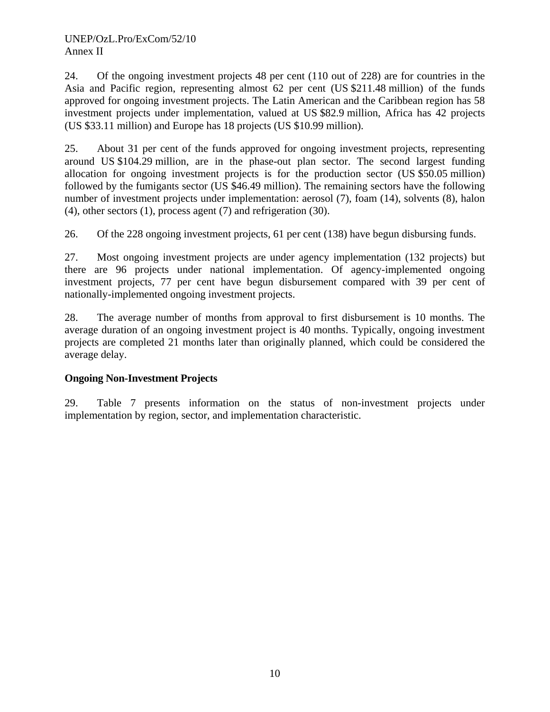24. Of the ongoing investment projects 48 per cent (110 out of 228) are for countries in the Asia and Pacific region, representing almost 62 per cent (US \$211.48 million) of the funds approved for ongoing investment projects. The Latin American and the Caribbean region has 58 investment projects under implementation, valued at US \$82.9 million, Africa has 42 projects (US \$33.11 million) and Europe has 18 projects (US \$10.99 million).

25. About 31 per cent of the funds approved for ongoing investment projects, representing around US \$104.29 million, are in the phase-out plan sector. The second largest funding allocation for ongoing investment projects is for the production sector (US \$50.05 million) followed by the fumigants sector (US \$46.49 million). The remaining sectors have the following number of investment projects under implementation: aerosol (7), foam (14), solvents (8), halon (4), other sectors (1), process agent (7) and refrigeration (30).

26. Of the 228 ongoing investment projects, 61 per cent (138) have begun disbursing funds.

27. Most ongoing investment projects are under agency implementation (132 projects) but there are 96 projects under national implementation. Of agency-implemented ongoing investment projects, 77 per cent have begun disbursement compared with 39 per cent of nationally-implemented ongoing investment projects.

28. The average number of months from approval to first disbursement is 10 months. The average duration of an ongoing investment project is 40 months. Typically, ongoing investment projects are completed 21 months later than originally planned, which could be considered the average delay.

## **Ongoing Non-Investment Projects**

29. Table 7 presents information on the status of non-investment projects under implementation by region, sector, and implementation characteristic.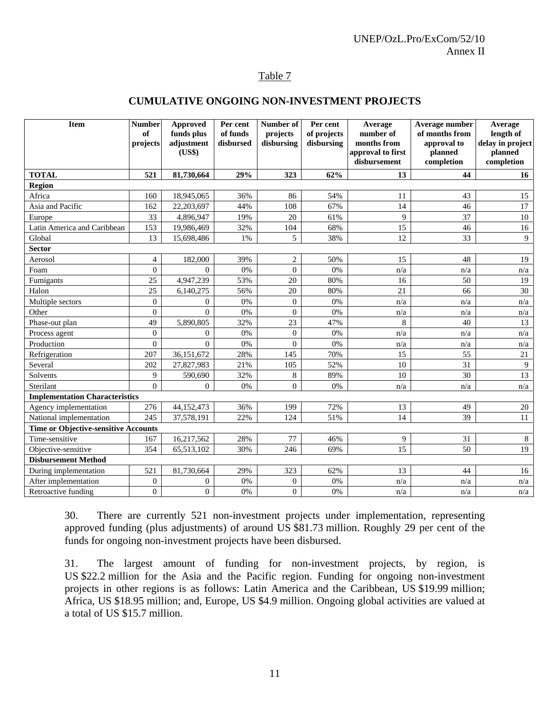## Table 7

#### **CUMULATIVE ONGOING NON-INVESTMENT PROJECTS**

| <b>Item</b>                                 | <b>Number</b><br>of<br>projects | Approved<br>funds plus<br>adjustment<br>(US\$) | Per cent<br>of funds<br>disbursed | Number of<br>projects<br>disbursing | Per cent<br>of projects<br>disbursing | Average<br>number of<br>months from<br>approval to first<br>disbursement | Average number<br>of months from<br>approval to<br>planned<br>completion | Average<br>length of<br>delay in project<br>planned<br>completion |
|---------------------------------------------|---------------------------------|------------------------------------------------|-----------------------------------|-------------------------------------|---------------------------------------|--------------------------------------------------------------------------|--------------------------------------------------------------------------|-------------------------------------------------------------------|
| <b>TOTAL</b>                                | 521                             | 81,730,664                                     | 29%                               | 323                                 | 62%                                   | 13                                                                       | 44                                                                       | 16                                                                |
| Region                                      |                                 |                                                |                                   |                                     |                                       |                                                                          |                                                                          |                                                                   |
| Africa                                      | 160                             | 18,945,065                                     | 36%                               | 86                                  | 54%                                   | 11                                                                       | 43                                                                       | 15                                                                |
| Asia and Pacific                            | 162                             | 22,203,697                                     | 44%                               | 108                                 | 67%                                   | 14                                                                       | 46                                                                       | 17                                                                |
| Europe                                      | 33                              | 4,896,947                                      | 19%                               | 20                                  | 61%                                   | 9                                                                        | 37                                                                       | 10                                                                |
| Latin America and Caribbean                 | 153                             | 19,986,469                                     | 32%                               | 104                                 | 68%                                   | 15                                                                       | 46                                                                       | 16                                                                |
| Global                                      | 13                              | 15,698,486                                     | 1%                                | 5                                   | 38%                                   | 12                                                                       | 33                                                                       | 9                                                                 |
| <b>Sector</b>                               |                                 |                                                |                                   |                                     |                                       |                                                                          |                                                                          |                                                                   |
| Aerosol                                     | $\overline{4}$                  | 182,000                                        | 39%                               | $\overline{2}$                      | 50%                                   | 15                                                                       | 48                                                                       | 19                                                                |
| Foam                                        | $\mathbf{0}$                    | $\theta$                                       | $0\%$                             | $\mathbf{0}$                        | 0%                                    | n/a                                                                      | n/a                                                                      | n/a                                                               |
| Fumigants                                   | 25                              | 4,947,239                                      | 53%                               | 20                                  | 80%                                   | 16                                                                       | 50                                                                       | 19                                                                |
| Halon                                       | 25                              | 6,140,275                                      | 56%                               | 20                                  | 80%                                   | 21                                                                       | 66                                                                       | 30                                                                |
| Multiple sectors                            | $\mathbf{0}$                    | $\mathbf{0}$                                   | $0\%$                             | $\overline{0}$                      | 0%                                    | n/a                                                                      | n/a                                                                      | n/a                                                               |
| Other                                       | $\overline{0}$                  | $\Omega$                                       | 0%                                | $\overline{0}$                      | 0%                                    | n/a                                                                      | n/a                                                                      | n/a                                                               |
| Phase-out plan                              | 49                              | 5,890,805                                      | 32%                               | 23                                  | 47%                                   | 8                                                                        | 40                                                                       | 13                                                                |
| Process agent                               | $\mathbf{0}$                    | $\Omega$                                       | 0%                                | $\boldsymbol{0}$                    | 0%                                    | n/a                                                                      | n/a                                                                      | n/a                                                               |
| Production                                  | $\theta$                        | $\Omega$                                       | 0%                                | $\theta$                            | 0%                                    | n/a                                                                      | n/a                                                                      | n/a                                                               |
| Refrigeration                               | 207                             | 36,151,672                                     | 28%                               | 145                                 | 70%                                   | 15                                                                       | 55                                                                       | 21                                                                |
| Several                                     | 202                             | 27,827,983                                     | 21%                               | 105                                 | 52%                                   | 10                                                                       | 31                                                                       | 9                                                                 |
| Solvents                                    | 9                               | 590,690                                        | 32%                               | 8                                   | 89%                                   | 10                                                                       | 30                                                                       | 13                                                                |
| Sterilant                                   | $\Omega$                        | $\theta$                                       | 0%                                | $\theta$                            | 0%                                    | n/a                                                                      | n/a                                                                      | n/a                                                               |
| <b>Implementation Characteristics</b>       |                                 |                                                |                                   |                                     |                                       |                                                                          |                                                                          |                                                                   |
| Agency implementation                       | 276                             | 44,152,473                                     | 36%                               | 199                                 | 72%                                   | 13                                                                       | 49                                                                       | $20\,$                                                            |
| National implementation                     | 245                             | 37,578,191                                     | 22%                               | 124                                 | 51%                                   | 14                                                                       | 39                                                                       | 11                                                                |
| <b>Time or Objective-sensitive Accounts</b> |                                 |                                                |                                   |                                     |                                       |                                                                          |                                                                          |                                                                   |
| Time-sensitive                              | 167                             | 16,217,562                                     | 28%                               | 77                                  | 46%                                   | 9                                                                        | 31                                                                       | 8                                                                 |
| Objective-sensitive                         | 354                             | 65,513,102                                     | 30%                               | 246                                 | 69%                                   | 15                                                                       | 50                                                                       | 19                                                                |
| <b>Disbursement Method</b>                  |                                 |                                                |                                   |                                     |                                       |                                                                          |                                                                          |                                                                   |
| During implementation                       | 521                             | 81,730,664                                     | 29%                               | 323                                 | 62%                                   | 13                                                                       | 44                                                                       | 16                                                                |
| After implementation                        | $\mathbf{0}$                    | $\mathbf{0}$                                   | $0\%$                             | $\theta$                            | 0%                                    | n/a                                                                      | n/a                                                                      | n/a                                                               |
| Retroactive funding                         | $\mathbf{0}$                    | $\boldsymbol{0}$                               | $0\%$                             | $\overline{0}$                      | 0%                                    | n/a                                                                      | n/a                                                                      | n/a                                                               |

30. There are currently 521 non-investment projects under implementation, representing approved funding (plus adjustments) of around US \$81.73 million. Roughly 29 per cent of the funds for ongoing non-investment projects have been disbursed.

31. The largest amount of funding for non-investment projects, by region, is US \$22.2 million for the Asia and the Pacific region. Funding for ongoing non-investment projects in other regions is as follows: Latin America and the Caribbean, US \$19.99 million; Africa, US \$18.95 million; and, Europe, US \$4.9 million. Ongoing global activities are valued at a total of US \$15.7 million.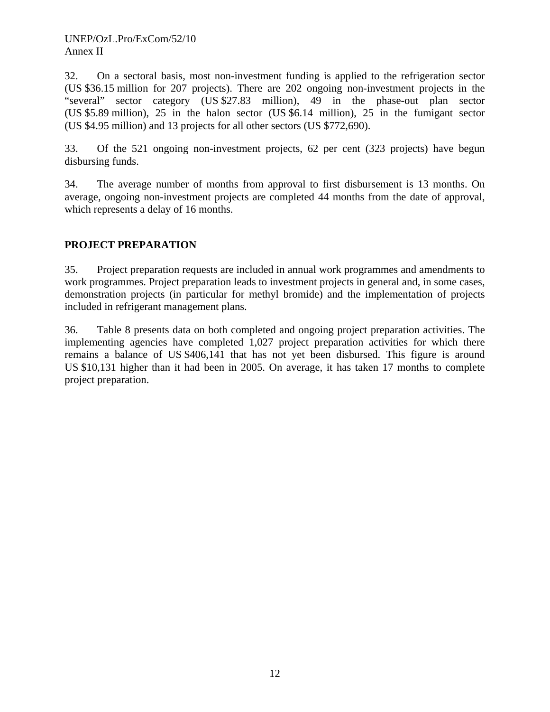32. On a sectoral basis, most non-investment funding is applied to the refrigeration sector (US \$36.15 million for 207 projects). There are 202 ongoing non-investment projects in the "several" sector category (US \$27.83 million), 49 in the phase-out plan sector (US \$5.89 million), 25 in the halon sector (US \$6.14 million), 25 in the fumigant sector (US \$4.95 million) and 13 projects for all other sectors (US \$772,690).

33. Of the 521 ongoing non-investment projects, 62 per cent (323 projects) have begun disbursing funds.

34. The average number of months from approval to first disbursement is 13 months. On average, ongoing non-investment projects are completed 44 months from the date of approval, which represents a delay of 16 months.

# **PROJECT PREPARATION**

35. Project preparation requests are included in annual work programmes and amendments to work programmes. Project preparation leads to investment projects in general and, in some cases, demonstration projects (in particular for methyl bromide) and the implementation of projects included in refrigerant management plans.

36. Table 8 presents data on both completed and ongoing project preparation activities. The implementing agencies have completed 1,027 project preparation activities for which there remains a balance of US \$406,141 that has not yet been disbursed. This figure is around US \$10,131 higher than it had been in 2005. On average, it has taken 17 months to complete project preparation.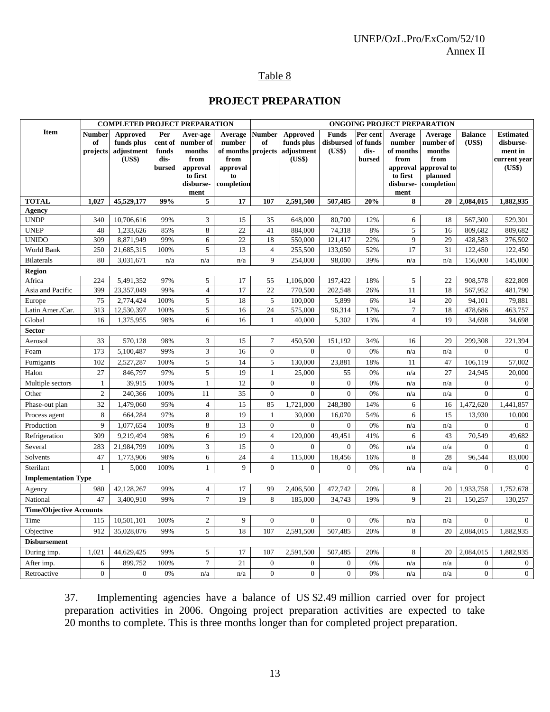## UNEP/OzL.Pro/ExCom/52/10 Annex II

# Table 8

## **PROJECT PREPARATION**

|                                |                          | <b>COMPLETED PROJECT PREPARATION</b>           |                                 |                                           |                                        |                                 | ONGOING PROJECT PREPARATION                    |                                     |                                        |                                           |                                        |                          |                                                          |
|--------------------------------|--------------------------|------------------------------------------------|---------------------------------|-------------------------------------------|----------------------------------------|---------------------------------|------------------------------------------------|-------------------------------------|----------------------------------------|-------------------------------------------|----------------------------------------|--------------------------|----------------------------------------------------------|
| <b>Item</b>                    | Number<br>of<br>projects | Approved<br>funds plus<br>adjustment<br>(US\$) | Per<br>cent of<br>funds<br>dis- | Aver-age<br>number of<br>months<br>from   | Average<br>number<br>of months<br>from | <b>Number</b><br>of<br>projects | Approved<br>funds plus<br>adjustment<br>(US\$) | <b>Funds</b><br>disbursed<br>(US\$) | Per cent<br>of funds<br>dis-<br>bursed | Average<br>number<br>of months<br>from    | Average<br>number of<br>months<br>from | <b>Balance</b><br>(US\$) | <b>Estimated</b><br>disburse-<br>ment in<br>current year |
|                                |                          |                                                | bursed                          | approval<br>to first<br>disburse-<br>ment | approval<br>to<br>completion           |                                 |                                                |                                     |                                        | approval<br>to first<br>disburse-<br>ment | approval to<br>planned<br>completion   |                          | (US\$)                                                   |
| <b>TOTAL</b>                   | 1,027                    | 45,529,177                                     | 99%                             | 5                                         | 17                                     | 107                             | 2,591,500                                      | 507,485                             | 20%                                    | 8                                         | 20                                     | 2,084,015                | 1,882,935                                                |
| <b>Agency</b>                  |                          |                                                |                                 |                                           |                                        |                                 |                                                |                                     |                                        |                                           |                                        |                          |                                                          |
| <b>UNDP</b>                    | 340                      | 10,706,616                                     | 99%                             | 3                                         | 15                                     | 35                              | 648,000                                        | 80,700                              | 12%                                    | 6                                         | 18                                     | 567,300                  | 529,301                                                  |
| <b>UNEP</b>                    | 48                       | 1,233,626                                      | 85%                             | 8                                         | 22                                     | 41                              | 884,000                                        | 74,318                              | 8%                                     | 5                                         | 16                                     | 809,682                  | 809,682                                                  |
| <b>UNIDO</b>                   | 309                      | 8,871,949                                      | 99%                             | 6                                         | 22                                     | 18                              | 550,000                                        | 121,417                             | 22%                                    | $\overline{9}$                            | 29                                     | 428,583                  | 276,502                                                  |
| World Bank                     | 250                      | 21,685,315                                     | 100%                            | 5                                         | 13                                     | $\overline{4}$                  | 255,500                                        | 133,050                             | 52%                                    | 17                                        | 31                                     | 122,450                  | 122,450                                                  |
| <b>Bilaterals</b>              | 80                       | 3,031,671                                      | n/a                             | n/a                                       | n/a                                    | 9                               | 254,000                                        | 98,000                              | 39%                                    | n/a                                       | n/a                                    | 156,000                  | 145,000                                                  |
| <b>Region</b>                  |                          |                                                |                                 |                                           |                                        |                                 |                                                |                                     |                                        |                                           |                                        |                          |                                                          |
| Africa                         | 224                      | 5,491,352                                      | 97%                             | 5                                         | 17                                     | 55                              | 1,106,000                                      | 197,422                             | 18%                                    | 5                                         | 22                                     | 908,578                  | 822,809                                                  |
| Asia and Pacific               | 399                      | 23,357,049                                     | 99%                             | $\overline{4}$                            | 17                                     | 22                              | 770,500                                        | 202,548                             | 26%                                    | 11                                        | 18                                     | 567,952                  | 481,790                                                  |
| Europe                         | 75                       | 2,774,424                                      | 100%                            | 5                                         | 18                                     | $5\,$                           | 100,000                                        | 5,899                               | 6%                                     | 14                                        | 20                                     | 94,101                   | 79,881                                                   |
| Latin Amer./Car.               | 313                      | 12,530,397                                     | 100%                            | 5                                         | 16                                     | 24                              | 575,000                                        | 96,314                              | 17%                                    | $\overline{7}$<br>$\overline{4}$          | 18                                     | 478,686                  | 463,757                                                  |
| Global                         | 16                       | 1,375,955                                      | 98%                             | 6                                         | 16                                     | $\mathbf{1}$                    | 40,000                                         | 5,302                               | 13%                                    |                                           | 19                                     | 34,698                   | 34,698                                                   |
| <b>Sector</b>                  | 33                       |                                                |                                 | 3                                         | 15                                     | $\tau$                          |                                                |                                     |                                        |                                           |                                        |                          |                                                          |
| Aerosol                        |                          | 570,128                                        | 98%<br>99%                      |                                           |                                        | $\overline{0}$                  | 450,500                                        | 151,192                             | 34%                                    | 16                                        | 29                                     | 299,308                  | 221,394                                                  |
| Foam                           | 173                      | 5,100,487                                      |                                 | 3                                         | 16                                     |                                 | $\overline{0}$                                 | $\mathbf{0}$                        | 0%                                     | n/a                                       | n/a                                    | $\overline{0}$           | $\mathbf{0}$                                             |
| Fumigants                      | 102                      | 2,527,287                                      | 100%                            | 5                                         | 14                                     | 5                               | 130,000                                        | 23,881                              | 18%                                    | 11                                        | 47                                     | 106,119                  | 57,002                                                   |
| Halon                          | 27                       | 846,797                                        | 97%                             | 5                                         | 19                                     | $\mathbf{1}$                    | 25,000                                         | 55                                  | 0%                                     | n/a                                       | 27                                     | 24,945                   | 20,000                                                   |
| Multiple sectors               | $\mathbf{1}$             | 39,915                                         | 100%                            | $1\,$                                     | 12                                     | $\mathbf{0}$                    | $\boldsymbol{0}$                               | $\boldsymbol{0}$                    | 0%                                     | n/a                                       | n/a                                    | $\boldsymbol{0}$         | $\mathbf{0}$                                             |
| Other                          | $\overline{c}$           | 240,366                                        | 100%                            | 11                                        | 35                                     | $\theta$                        | $\theta$                                       | $\Omega$                            | 0%                                     | n/a                                       | n/a                                    | $\Omega$                 | $\Omega$                                                 |
| Phase-out plan                 | 32                       | 1,479,060                                      | 95%                             | $\overline{4}$                            | 15                                     | 85                              | 1,721,000                                      | 248,380                             | 14%                                    | 6                                         | 16                                     | 1,472,620                | 1,441,857                                                |
| Process agent                  | 8                        | 664,284                                        | 97%                             | 8                                         | 19                                     | $\mathbf{1}$                    | 30,000                                         | 16,070                              | 54%                                    | 6                                         | 15                                     | 13,930                   | 10,000                                                   |
| Production                     | 9                        | 1,077,654                                      | 100%                            | 8                                         | 13                                     | $\overline{0}$                  | $\overline{0}$                                 | $\mathbf{0}$                        | 0%                                     | n/a                                       | n/a                                    | $\overline{0}$           | $\overline{0}$                                           |
| Refrigeration                  | 309                      | 9,219,494                                      | 98%                             | 6                                         | 19                                     | $\overline{4}$                  | 120,000                                        | 49,451                              | 41%                                    | 6                                         | 43                                     | 70,549                   | 49,682                                                   |
| Several                        | 283                      | 21,984,799                                     | 100%                            | $\mathfrak{Z}$                            | 15                                     | $\Omega$                        | $\boldsymbol{0}$                               | $\boldsymbol{0}$                    | 0%                                     | n/a                                       | n/a                                    | $\Omega$                 | $\Omega$                                                 |
| Solvents                       | 47                       | 1,773,906                                      | 98%                             | $\epsilon$                                | 24                                     | $\overline{4}$                  | 115,000                                        | 18,456                              | 16%                                    | $\,8\,$                                   | 28                                     | 96.544                   | 83,000                                                   |
| Sterilant                      | $\mathbf{1}$             | 5,000                                          | 100%                            | $\mathbf{1}$                              | 9                                      | $\theta$                        | $\Omega$                                       | $\Omega$                            | 0%                                     | n/a                                       | n/a                                    | $\Omega$                 | $\Omega$                                                 |
| <b>Implementation Type</b>     |                          |                                                |                                 |                                           |                                        |                                 |                                                |                                     |                                        |                                           |                                        |                          |                                                          |
| Agency                         | 980                      | 42,128,267                                     | 99%                             | $\overline{4}$                            | 17                                     | 99                              | 2,406,500                                      | 472,742                             | 20%                                    | 8                                         | 20                                     | 1,933,758                | 1,752,678                                                |
| National                       | 47                       | 3,400,910                                      | 99%                             | $\boldsymbol{7}$                          | 19                                     | $\,8\,$                         | 185,000                                        | 34,743                              | 19%                                    | 9                                         | 21                                     | 150,257                  | 130,257                                                  |
| <b>Time/Objective Accounts</b> |                          |                                                |                                 |                                           |                                        |                                 |                                                |                                     |                                        |                                           |                                        |                          |                                                          |
| Time                           | 115                      | 10,501,101                                     | 100%                            | $\overline{c}$                            | 9                                      | $\Omega$                        | $\Omega$                                       | $\overline{0}$                      | 0%                                     | n/a                                       | n/a                                    | $\Omega$                 | $\Omega$                                                 |
| Objective                      | 912                      | 35,028,076                                     | 99%                             | 5                                         | 18                                     | 107                             | 2,591,500                                      | 507,485                             | 20%                                    | 8                                         | 20                                     | 2,084,015                | 1,882,935                                                |
| <b>Disbursement</b>            |                          |                                                |                                 |                                           |                                        |                                 |                                                |                                     |                                        |                                           |                                        |                          |                                                          |
| During imp.                    | 1,021                    | 44,629,425                                     | 99%                             | 5                                         | 17                                     | 107                             | 2,591,500                                      | 507,485                             | 20%                                    | 8                                         | 20                                     | 2,084,015                | 1,882,935                                                |
| After imp.                     | 6                        | 899,752                                        | 100%                            | $\tau$                                    | 21                                     | $\theta$                        | $\boldsymbol{0}$                               | $\mathbf{0}$                        | 0%                                     | n/a                                       | n/a                                    | $\overline{0}$           | $\mathbf{0}$                                             |
| Retroactive                    | $\overline{0}$           | $\boldsymbol{0}$                               | 0%                              | n/a                                       | n/a                                    | $\Omega$                        | $\boldsymbol{0}$                               | $\Omega$                            | 0%                                     | n/a                                       | n/a                                    | $\boldsymbol{0}$         | $\overline{0}$                                           |

37. Implementing agencies have a balance of US \$2.49 million carried over for project preparation activities in 2006. Ongoing project preparation activities are expected to take 20 months to complete. This is three months longer than for completed project preparation.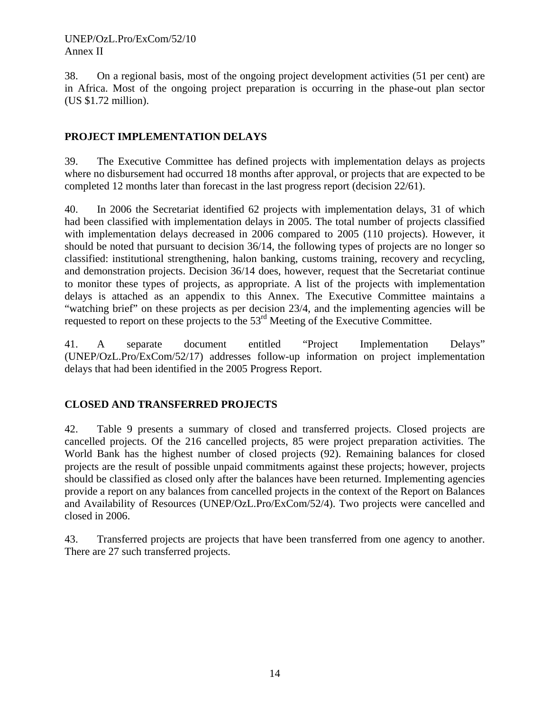38. On a regional basis, most of the ongoing project development activities (51 per cent) are in Africa. Most of the ongoing project preparation is occurring in the phase-out plan sector (US \$1.72 million).

# **PROJECT IMPLEMENTATION DELAYS**

39. The Executive Committee has defined projects with implementation delays as projects where no disbursement had occurred 18 months after approval, or projects that are expected to be completed 12 months later than forecast in the last progress report (decision 22/61).

40. In 2006 the Secretariat identified 62 projects with implementation delays, 31 of which had been classified with implementation delays in 2005. The total number of projects classified with implementation delays decreased in 2006 compared to 2005 (110 projects). However, it should be noted that pursuant to decision 36/14, the following types of projects are no longer so classified: institutional strengthening, halon banking, customs training, recovery and recycling, and demonstration projects. Decision 36/14 does, however, request that the Secretariat continue to monitor these types of projects, as appropriate. A list of the projects with implementation delays is attached as an appendix to this Annex. The Executive Committee maintains a "watching brief" on these projects as per decision 23/4, and the implementing agencies will be requested to report on these projects to the 53rd Meeting of the Executive Committee.

41. A separate document entitled "Project Implementation Delays" (UNEP/OzL.Pro/ExCom/52/17) addresses follow-up information on project implementation delays that had been identified in the 2005 Progress Report.

## **CLOSED AND TRANSFERRED PROJECTS**

42. Table 9 presents a summary of closed and transferred projects. Closed projects are cancelled projects. Of the 216 cancelled projects, 85 were project preparation activities. The World Bank has the highest number of closed projects (92). Remaining balances for closed projects are the result of possible unpaid commitments against these projects; however, projects should be classified as closed only after the balances have been returned. Implementing agencies provide a report on any balances from cancelled projects in the context of the Report on Balances and Availability of Resources (UNEP/OzL.Pro/ExCom/52/4). Two projects were cancelled and closed in 2006.

43. Transferred projects are projects that have been transferred from one agency to another. There are 27 such transferred projects.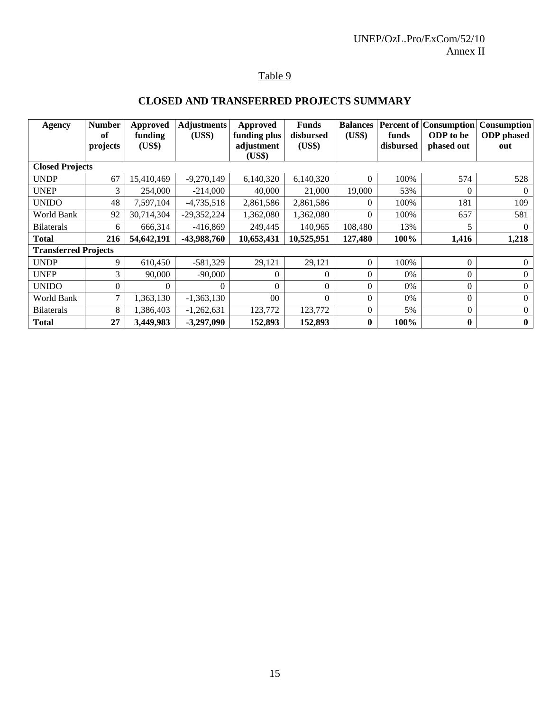# Table 9

# **CLOSED AND TRANSFERRED PROJECTS SUMMARY**

| Agency                      | <b>Number</b><br>of | <b>Approved</b><br>funding | <b>Adjustments</b><br>(USS) | Approved<br>funding plus | <b>Funds</b><br>disbursed | <b>Balances</b><br>(US\$) | funds     | <b>Percent of Consumption</b><br>ODP to be | <b>Consumption</b><br><b>ODP</b> phased |
|-----------------------------|---------------------|----------------------------|-----------------------------|--------------------------|---------------------------|---------------------------|-----------|--------------------------------------------|-----------------------------------------|
|                             | projects            | (US\$)                     |                             | adjustment               | (US\$)                    |                           | disbursed | phased out                                 | out                                     |
|                             |                     |                            |                             | (US\$)                   |                           |                           |           |                                            |                                         |
| <b>Closed Projects</b>      |                     |                            |                             |                          |                           |                           |           |                                            |                                         |
| <b>UNDP</b>                 | 67                  | 15,410,469                 | $-9,270,149$                | 6,140,320                | 6,140,320                 | $\theta$                  | 100%      | 574                                        | 528                                     |
| <b>UNEP</b>                 | 3                   | 254,000                    | $-214,000$                  | 40,000                   | 21,000                    | 19,000                    | 53%       | $\Omega$                                   | $\Omega$                                |
| <b>UNIDO</b>                | 48                  | 7,597,104                  | $-4,735,518$                | 2,861,586                | 2,861,586                 | $\Omega$                  | 100%      | 181                                        | 109                                     |
| World Bank                  | 92                  | 30,714,304                 | -29,352,224                 | 1,362,080                | 1,362,080                 | $\Omega$                  | 100%      | 657                                        | 581                                     |
| <b>Bilaterals</b>           | 6                   | 666,314                    | $-416,869$                  | 249,445                  | 140,965                   | 108,480                   | 13%       | 5                                          | $\Omega$                                |
| <b>Total</b>                | 216                 | 54,642,191                 | -43,988,760                 | 10,653,431               | 10,525,951                | 127,480                   | 100%      | 1,416                                      | 1,218                                   |
| <b>Transferred Projects</b> |                     |                            |                             |                          |                           |                           |           |                                            |                                         |
| <b>UNDP</b>                 | 9                   | 610,450                    | $-581,329$                  | 29,121                   | 29,121                    | $\theta$                  | 100%      | $\Omega$                                   | $\Omega$                                |
| <b>UNEP</b>                 | 3                   | 90,000                     | $-90,000$                   | $\Omega$                 | $\Omega$                  | $\Omega$                  | 0%        | $\Omega$                                   | $\Omega$                                |
| <b>UNIDO</b>                | $\Omega$            | $\theta$                   | $\Omega$                    | $\Omega$                 | $\theta$                  | $\theta$                  | 0%        | $\Omega$                                   | $\theta$                                |
| World Bank                  | 7                   | 1,363,130                  | $-1,363,130$                | 0 <sub>0</sub>           | $\theta$                  | $\theta$                  | 0%        | $\Omega$                                   | $\Omega$                                |
| <b>Bilaterals</b>           | 8                   | 1,386,403                  | $-1,262,631$                | 123,772                  | 123,772                   | $\theta$                  | 5%        | $\Omega$                                   | $\Omega$                                |
| <b>Total</b>                | 27                  | 3,449,983                  | $-3,297,090$                | 152,893                  | 152,893                   | $\boldsymbol{0}$          | 100%      | $\mathbf{0}$                               | $\bf{0}$                                |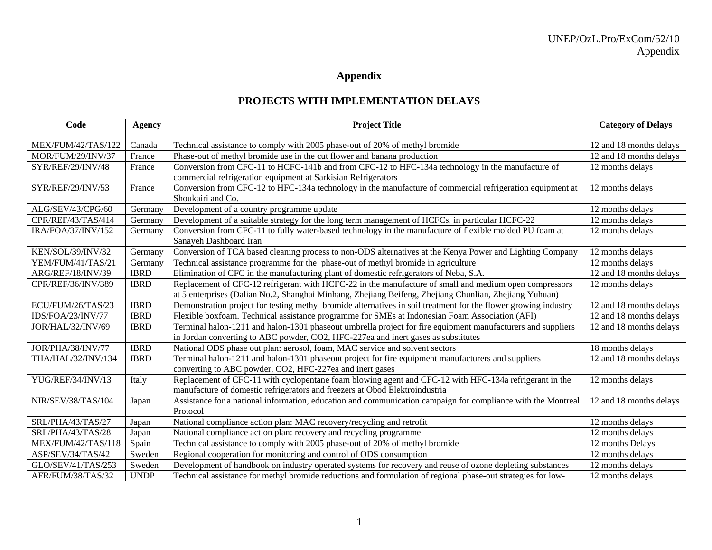# **Appendix**

## **PROJECTS WITH IMPLEMENTATION DELAYS**

| Code               | <b>Agency</b> | <b>Project Title</b>                                                                                                                                                                                             | <b>Category of Delays</b> |
|--------------------|---------------|------------------------------------------------------------------------------------------------------------------------------------------------------------------------------------------------------------------|---------------------------|
| MEX/FUM/42/TAS/122 | Canada        | Technical assistance to comply with 2005 phase-out of 20% of methyl bromide                                                                                                                                      | 12 and 18 months delays   |
| MOR/FUM/29/INV/37  | France        | Phase-out of methyl bromide use in the cut flower and banana production                                                                                                                                          | 12 and 18 months delays   |
| SYR/REF/29/INV/48  | France        | Conversion from CFC-11 to HCFC-141b and from CFC-12 to HFC-134a technology in the manufacture of<br>commercial refrigeration equipment at Sarkisian Refrigerators                                                | 12 months delays          |
| SYR/REF/29/INV/53  | France        | Conversion from CFC-12 to HFC-134a technology in the manufacture of commercial refrigeration equipment at<br>Shoukairi and Co.                                                                                   | 12 months delays          |
| ALG/SEV/43/CPG/60  | Germany       | Development of a country programme update                                                                                                                                                                        | 12 months delays          |
| CPR/REF/43/TAS/414 | Germany       | Development of a suitable strategy for the long term management of HCFCs, in particular HCFC-22                                                                                                                  | 12 months delays          |
| IRA/FOA/37/INV/152 | Germany       | Conversion from CFC-11 to fully water-based technology in the manufacture of flexible molded PU foam at<br>Sanayeh Dashboard Iran                                                                                | 12 months delays          |
| KEN/SOL/39/INV/32  | Germany       | Conversion of TCA based cleaning process to non-ODS alternatives at the Kenya Power and Lighting Company                                                                                                         | 12 months delays          |
| YEM/FUM/41/TAS/21  | Germany       | Technical assistance programme for the phase-out of methyl bromide in agriculture                                                                                                                                | 12 months delays          |
| ARG/REF/18/INV/39  | <b>IBRD</b>   | Elimination of CFC in the manufacturing plant of domestic refrigerators of Neba, S.A.                                                                                                                            | 12 and 18 months delays   |
| CPR/REF/36/INV/389 | <b>IBRD</b>   | Replacement of CFC-12 refrigerant with HCFC-22 in the manufacture of small and medium open compressors<br>at 5 enterprises (Dalian No.2, Shanghai Minhang, Zhejiang Beifeng, Zhejiang Chunlian, Zhejiang Yuhuan) | 12 months delays          |
| ECU/FUM/26/TAS/23  | <b>IBRD</b>   | Demonstration project for testing methyl bromide alternatives in soil treatment for the flower growing industry                                                                                                  | 12 and 18 months delays   |
| IDS/FOA/23/INV/77  | <b>IBRD</b>   | Flexible boxfoam. Technical assistance programme for SMEs at Indonesian Foam Association (AFI)                                                                                                                   | 12 and 18 months delays   |
| JOR/HAL/32/INV/69  | <b>IBRD</b>   | Terminal halon-1211 and halon-1301 phaseout umbrella project for fire equipment manufacturers and suppliers<br>in Jordan converting to ABC powder, CO2, HFC-227ea and inert gases as substitutes                 | 12 and 18 months delays   |
| JOR/PHA/38/INV/77  | <b>IBRD</b>   | National ODS phase out plan: aerosol, foam, MAC service and solvent sectors                                                                                                                                      | 18 months delays          |
| THA/HAL/32/INV/134 | <b>IBRD</b>   | Terminal halon-1211 and halon-1301 phaseout project for fire equipment manufacturers and suppliers<br>converting to ABC powder, CO2, HFC-227ea and inert gases                                                   | 12 and 18 months delays   |
| YUG/REF/34/INV/13  | Italy         | Replacement of CFC-11 with cyclopentane foam blowing agent and CFC-12 with HFC-134a refrigerant in the<br>manufacture of domestic refrigerators and freezers at Obod Elektroindustria                            | 12 months delays          |
| NIR/SEV/38/TAS/104 | Japan         | Assistance for a national information, education and communication campaign for compliance with the Montreal<br>Protocol                                                                                         | 12 and 18 months delays   |
| SRL/PHA/43/TAS/27  | Japan         | National compliance action plan: MAC recovery/recycling and retrofit                                                                                                                                             | 12 months delays          |
| SRL/PHA/43/TAS/28  | Japan         | National compliance action plan: recovery and recycling programme                                                                                                                                                | 12 months delays          |
| MEX/FUM/42/TAS/118 | Spain         | Technical assistance to comply with 2005 phase-out of 20% of methyl bromide                                                                                                                                      | 12 months Delays          |
| ASP/SEV/34/TAS/42  | Sweden        | Regional cooperation for monitoring and control of ODS consumption                                                                                                                                               | 12 months delays          |
| GLO/SEV/41/TAS/253 | Sweden        | Development of handbook on industry operated systems for recovery and reuse of ozone depleting substances                                                                                                        | 12 months delays          |
| AFR/FUM/38/TAS/32  | <b>UNDP</b>   | Technical assistance for methyl bromide reductions and formulation of regional phase-out strategies for low-                                                                                                     | 12 months delays          |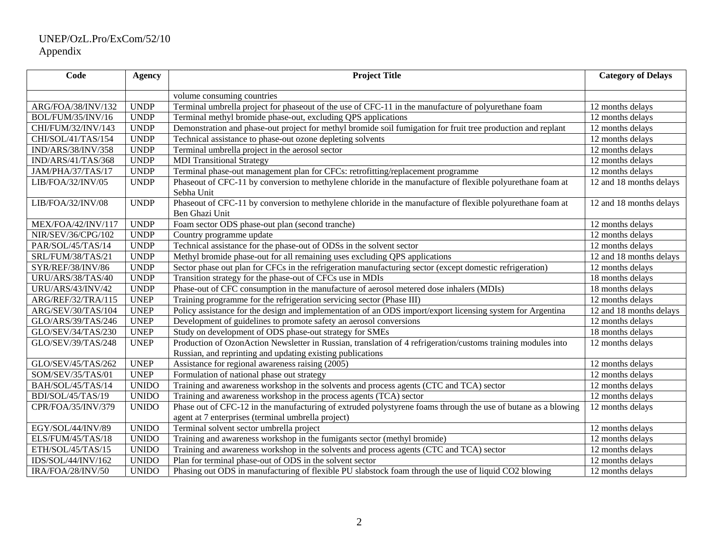# UNEP/OzL.Pro/ExCom/52/10 Appendix

| Code               | <b>Agency</b> | <b>Project Title</b>                                                                                                                                                       | <b>Category of Delays</b>            |
|--------------------|---------------|----------------------------------------------------------------------------------------------------------------------------------------------------------------------------|--------------------------------------|
|                    |               | volume consuming countries                                                                                                                                                 |                                      |
| ARG/FOA/38/INV/132 | <b>UNDP</b>   | Terminal umbrella project for phaseout of the use of CFC-11 in the manufacture of polyurethane foam                                                                        | 12 months delays                     |
| BOL/FUM/35/INV/16  | <b>UNDP</b>   | Terminal methyl bromide phase-out, excluding QPS applications                                                                                                              | 12 months delays                     |
| CHI/FUM/32/INV/143 | <b>UNDP</b>   | Demonstration and phase-out project for methyl bromide soil fumigation for fruit tree production and replant                                                               | 12 months delays                     |
| CHI/SOL/41/TAS/154 | <b>UNDP</b>   | Technical assistance to phase-out ozone depleting solvents                                                                                                                 | 12 months delays                     |
| IND/ARS/38/INV/358 | <b>UNDP</b>   | Terminal umbrella project in the aerosol sector                                                                                                                            | 12 months delays                     |
| IND/ARS/41/TAS/368 | <b>UNDP</b>   | <b>MDI</b> Transitional Strategy                                                                                                                                           | 12 months delays                     |
| JAM/PHA/37/TAS/17  | <b>UNDP</b>   | Terminal phase-out management plan for CFCs: retrofitting/replacement programme                                                                                            | 12 months delays                     |
| LIB/FOA/32/INV/05  | <b>UNDP</b>   | Phaseout of CFC-11 by conversion to methylene chloride in the manufacture of flexible polyurethane foam at<br>Sebha Unit                                                   | 12 and 18 months delays              |
| LIB/FOA/32/INV/08  | <b>UNDP</b>   | Phaseout of CFC-11 by conversion to methylene chloride in the manufacture of flexible polyurethane foam at<br>Ben Ghazi Unit                                               | 12 and 18 months delays              |
| MEX/FOA/42/INV/117 | <b>UNDP</b>   | Foam sector ODS phase-out plan (second tranche)                                                                                                                            | 12 months delays                     |
| NIR/SEV/36/CPG/102 | <b>UNDP</b>   | Country programme update                                                                                                                                                   | 12 months delays                     |
| PAR/SOL/45/TAS/14  | <b>UNDP</b>   | Technical assistance for the phase-out of ODSs in the solvent sector                                                                                                       | $\overline{12}$ months delays        |
| SRL/FUM/38/TAS/21  | <b>UNDP</b>   | Methyl bromide phase-out for all remaining uses excluding QPS applications                                                                                                 | 12 and 18 months delays              |
| SYR/REF/38/INV/86  | <b>UNDP</b>   | Sector phase out plan for CFCs in the refrigeration manufacturing sector (except domestic refrigeration)                                                                   | 12 months delays                     |
| URU/ARS/38/TAS/40  | <b>UNDP</b>   | Transition strategy for the phase-out of CFCs use in MDIs                                                                                                                  | 18 months delays                     |
| URU/ARS/43/INV/42  | <b>UNDP</b>   | Phase-out of CFC consumption in the manufacture of aerosol metered dose inhalers (MDIs)                                                                                    | 18 months delays                     |
| ARG/REF/32/TRA/115 | <b>UNEP</b>   | Training programme for the refrigeration servicing sector (Phase III)                                                                                                      | 12 months delays                     |
| ARG/SEV/30/TAS/104 | <b>UNEP</b>   | Policy assistance for the design and implementation of an ODS import/export licensing system for Argentina                                                                 | $\overline{12}$ and 18 months delays |
| GLO/ARS/39/TAS/246 | <b>UNEP</b>   | Development of guidelines to promote safety an aerosol conversions                                                                                                         | 12 months delays                     |
| GLO/SEV/34/TAS/230 | <b>UNEP</b>   | Study on development of ODS phase-out strategy for SMEs                                                                                                                    | 18 months delays                     |
| GLO/SEV/39/TAS/248 | <b>UNEP</b>   | Production of OzonAction Newsletter in Russian, translation of 4 refrigeration/customs training modules into<br>Russian, and reprinting and updating existing publications | 12 months delays                     |
| GLO/SEV/45/TAS/262 | <b>UNEP</b>   | Assistance for regional awareness raising (2005)                                                                                                                           | 12 months delays                     |
| SOM/SEV/35/TAS/01  | <b>UNEP</b>   | Formulation of national phase out strategy                                                                                                                                 | 12 months delays                     |
| BAH/SOL/45/TAS/14  | <b>UNIDO</b>  | Training and awareness workshop in the solvents and process agents (CTC and TCA) sector                                                                                    | 12 months delays                     |
| BDI/SOL/45/TAS/19  | <b>UNIDO</b>  | Training and awareness workshop in the process agents (TCA) sector                                                                                                         | 12 months delays                     |
| CPR/FOA/35/INV/379 | <b>UNIDO</b>  | Phase out of CFC-12 in the manufacturing of extruded polystyrene foams through the use of butane as a blowing                                                              | 12 months delays                     |
|                    |               | agent at 7 enterprises (terminal umbrella project)                                                                                                                         |                                      |
| EGY/SOL/44/INV/89  | <b>UNIDO</b>  | Terminal solvent sector umbrella project                                                                                                                                   | 12 months delays                     |
| ELS/FUM/45/TAS/18  | <b>UNIDO</b>  | Training and awareness workshop in the fumigants sector (methyl bromide)                                                                                                   | 12 months delays                     |
| ETH/SOL/45/TAS/15  | <b>UNIDO</b>  | Training and awareness workshop in the solvents and process agents (CTC and TCA) sector                                                                                    | 12 months delays                     |
| IDS/SOL/44/INV/162 | <b>UNIDO</b>  | Plan for terminal phase-out of ODS in the solvent sector                                                                                                                   | 12 months delays                     |
| IRA/FOA/28/INV/50  | <b>UNIDO</b>  | Phasing out ODS in manufacturing of flexible PU slabstock foam through the use of liquid CO2 blowing                                                                       | 12 months delays                     |